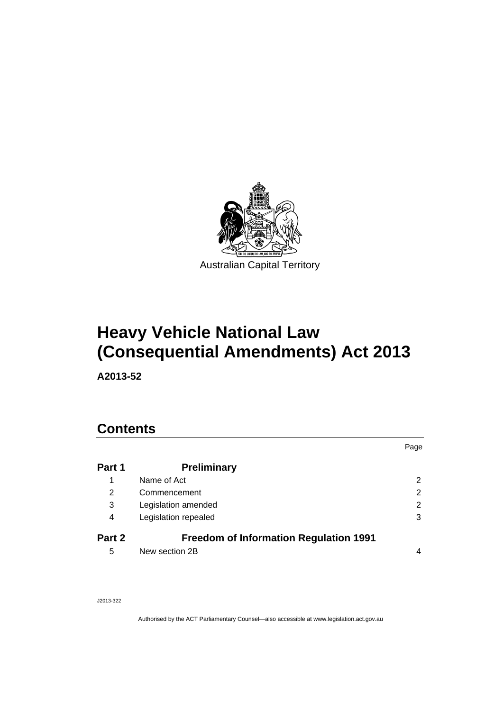

# **Heavy Vehicle National Law (Consequential Amendments) Act 2013**

**A2013-52** 

## **Contents**

|        |                                               | Page                  |
|--------|-----------------------------------------------|-----------------------|
| Part 1 | <b>Preliminary</b>                            |                       |
| 1      | Name of Act                                   | $\mathbf{2}^{\prime}$ |
| 2      | Commencement                                  | 2                     |
| 3      | Legislation amended                           | 2                     |
| 4      | Legislation repealed                          | 3                     |
| Part 2 | <b>Freedom of Information Regulation 1991</b> |                       |
| 5      | New section 2B                                | 4                     |

## J2013-322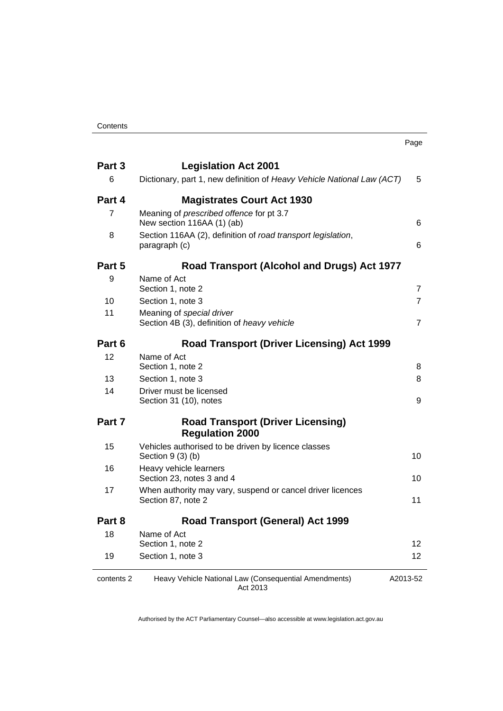|                |                                                                                                       | Page           |
|----------------|-------------------------------------------------------------------------------------------------------|----------------|
| Part 3<br>6    | <b>Legislation Act 2001</b><br>Dictionary, part 1, new definition of Heavy Vehicle National Law (ACT) | 5              |
| Part 4         | <b>Magistrates Court Act 1930</b>                                                                     |                |
| $\overline{7}$ | Meaning of prescribed offence for pt 3.7<br>New section 116AA (1) (ab)                                | 6              |
| 8              | Section 116AA (2), definition of road transport legislation,<br>paragraph (c)                         | 6              |
| Part 5         | Road Transport (Alcohol and Drugs) Act 1977                                                           |                |
| 9              | Name of Act<br>Section 1, note 2                                                                      | $\overline{7}$ |
| 10             | Section 1, note 3                                                                                     | 7              |
| 11             | Meaning of special driver<br>Section 4B (3), definition of heavy vehicle                              | 7              |
| Part 6         | <b>Road Transport (Driver Licensing) Act 1999</b>                                                     |                |
| 12             | Name of Act<br>Section 1, note 2                                                                      | 8              |
| 13             | Section 1, note 3                                                                                     | 8              |
| 14             | Driver must be licensed<br>Section 31 (10), notes                                                     | 9              |
| Part 7         | <b>Road Transport (Driver Licensing)</b><br><b>Regulation 2000</b>                                    |                |
| 15             | Vehicles authorised to be driven by licence classes<br>Section $9(3)(b)$                              | 10             |
| 16             | Heavy vehicle learners<br>Section 23, notes 3 and 4                                                   | 10             |
| 17             | When authority may vary, suspend or cancel driver licences<br>Section 87, note 2                      | 11             |
| Part 8         | <b>Road Transport (General) Act 1999</b>                                                              |                |
| 18             | Name of Act                                                                                           |                |
|                | Section 1, note 2                                                                                     | 12             |
| 19             | Section 1, note 3                                                                                     | 12             |
| contents 2     | Heavy Vehicle National Law (Consequential Amendments)<br>Act 2013                                     | A2013-52       |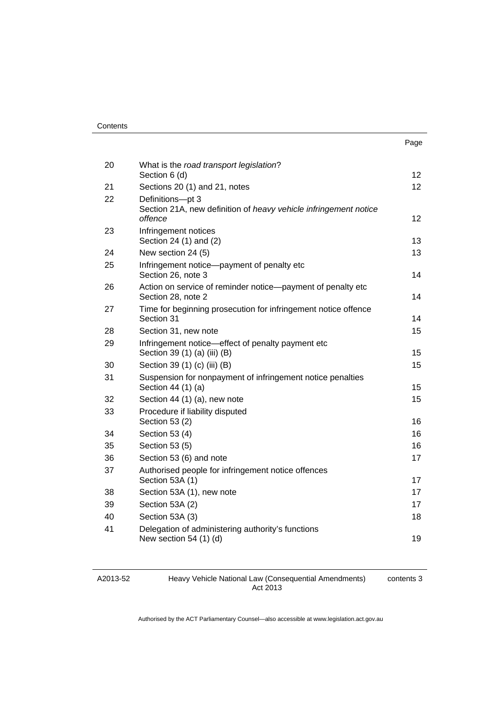| Contents |
|----------|
|----------|

|    |                                                                                                 | Page            |
|----|-------------------------------------------------------------------------------------------------|-----------------|
| 20 | What is the road transport legislation?<br>Section 6 (d)                                        | 12 <sup>2</sup> |
| 21 | Sections 20 (1) and 21, notes                                                                   | 12              |
| 22 | Definitions-pt 3<br>Section 21A, new definition of heavy vehicle infringement notice<br>offence | 12              |
| 23 | Infringement notices<br>Section 24 (1) and (2)                                                  | 13              |
| 24 | New section 24 (5)                                                                              | 13              |
| 25 | Infringement notice-payment of penalty etc<br>Section 26, note 3                                | 14              |
| 26 | Action on service of reminder notice-payment of penalty etc<br>Section 28, note 2               | 14              |
| 27 | Time for beginning prosecution for infringement notice offence<br>Section 31                    | 14              |
| 28 | Section 31, new note                                                                            | 15              |
| 29 | Infringement notice—effect of penalty payment etc<br>Section 39 (1) (a) (iii) (B)               | 15              |
| 30 | Section 39 (1) (c) (iii) (B)                                                                    | 15              |
| 31 | Suspension for nonpayment of infringement notice penalties<br>Section 44 (1) (a)                | 15              |
| 32 | Section 44 (1) (a), new note                                                                    | 15              |
| 33 | Procedure if liability disputed<br>Section 53 (2)                                               | 16              |
| 34 | Section 53 (4)                                                                                  | 16              |
| 35 | Section 53 (5)                                                                                  | 16              |
| 36 | Section 53 (6) and note                                                                         | 17              |
| 37 | Authorised people for infringement notice offences<br>Section 53A (1)                           | 17              |
| 38 | Section 53A (1), new note                                                                       | 17              |
| 39 | Section 53A (2)                                                                                 | 17              |
| 40 | Section 53A (3)                                                                                 | 18              |
| 41 | Delegation of administering authority's functions<br>New section $54(1)(d)$                     | 19              |

Heavy Vehicle National Law (Consequential Amendments) Act 2013

contents 3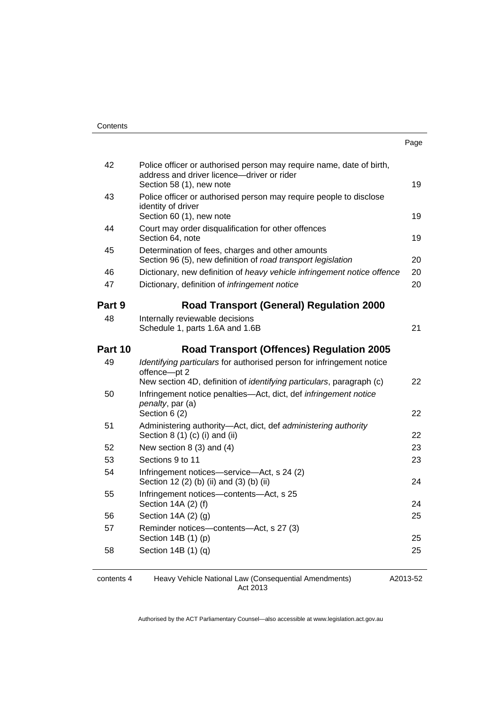| . .<br>× | ۰.<br>× |
|----------|---------|

| Police officer or authorised person may require name, date of birth,<br>address and driver licence-driver or rider | 19                                                                                                                                                                                                                                                                                                                 |
|--------------------------------------------------------------------------------------------------------------------|--------------------------------------------------------------------------------------------------------------------------------------------------------------------------------------------------------------------------------------------------------------------------------------------------------------------|
| Police officer or authorised person may require people to disclose                                                 |                                                                                                                                                                                                                                                                                                                    |
| identity of driver<br>Section 60 (1), new note                                                                     | 19                                                                                                                                                                                                                                                                                                                 |
| Court may order disqualification for other offences<br>Section 64, note                                            | 19                                                                                                                                                                                                                                                                                                                 |
| Determination of fees, charges and other amounts<br>Section 96 (5), new definition of road transport legislation   | 20                                                                                                                                                                                                                                                                                                                 |
| Dictionary, new definition of heavy vehicle infringement notice offence                                            | 20                                                                                                                                                                                                                                                                                                                 |
| Dictionary, definition of <i>infringement notice</i>                                                               | 20                                                                                                                                                                                                                                                                                                                 |
|                                                                                                                    |                                                                                                                                                                                                                                                                                                                    |
|                                                                                                                    |                                                                                                                                                                                                                                                                                                                    |
| Schedule 1, parts 1.6A and 1.6B                                                                                    | 21                                                                                                                                                                                                                                                                                                                 |
| <b>Road Transport (Offences) Regulation 2005</b>                                                                   |                                                                                                                                                                                                                                                                                                                    |
| Identifying particulars for authorised person for infringement notice<br>offence-pt 2                              | 22                                                                                                                                                                                                                                                                                                                 |
| Infringement notice penalties—Act, dict, def infringement notice<br>penalty, par (a)                               | 22                                                                                                                                                                                                                                                                                                                 |
|                                                                                                                    |                                                                                                                                                                                                                                                                                                                    |
|                                                                                                                    | 22                                                                                                                                                                                                                                                                                                                 |
| New section $8(3)$ and $(4)$                                                                                       | 23                                                                                                                                                                                                                                                                                                                 |
| Sections 9 to 11                                                                                                   | 23                                                                                                                                                                                                                                                                                                                 |
| Infringement notices-service-Act, s 24 (2)<br>Section 12 (2) (b) (ii) and (3) (b) (ii)                             | 24                                                                                                                                                                                                                                                                                                                 |
| Infringement notices-contents-Act, s 25<br>Section 14A (2) (f)                                                     | 24                                                                                                                                                                                                                                                                                                                 |
| Section $14A(2)(q)$                                                                                                | 25                                                                                                                                                                                                                                                                                                                 |
| Reminder notices-contents-Act, s 27 (3)                                                                            |                                                                                                                                                                                                                                                                                                                    |
| Section 14B (1) (p)                                                                                                | 25                                                                                                                                                                                                                                                                                                                 |
|                                                                                                                    |                                                                                                                                                                                                                                                                                                                    |
|                                                                                                                    | Section 58 (1), new note<br><b>Road Transport (General) Regulation 2000</b><br>Internally reviewable decisions<br>New section 4D, definition of <i>identifying particulars</i> , paragraph (c)<br>Section 6 (2)<br>Administering authority-Act, dict, def administering authority<br>Section $8(1)(c)(i)$ and (ii) |

contents 4 Heavy Vehicle National Law (Consequential Amendments) Act 2013

A2013-52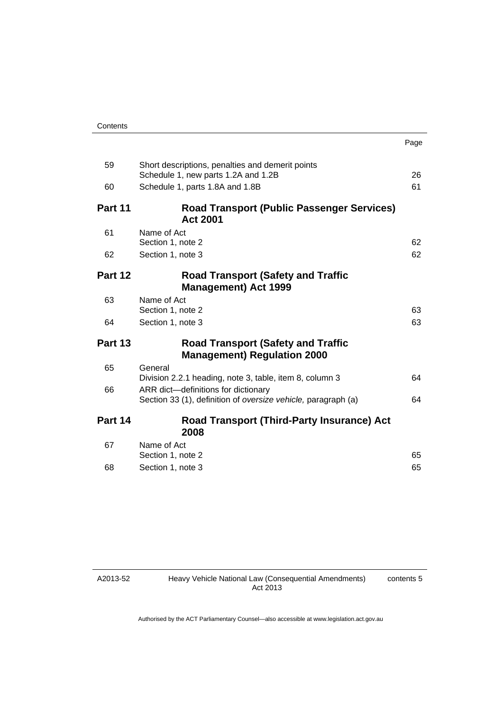| Contents |
|----------|
|----------|

|                |                                                                                                      | Page |
|----------------|------------------------------------------------------------------------------------------------------|------|
| 59             | Short descriptions, penalties and demerit points<br>Schedule 1, new parts 1.2A and 1.2B              | 26   |
| 60             | Schedule 1, parts 1.8A and 1.8B                                                                      | 61   |
| Part 11        | <b>Road Transport (Public Passenger Services)</b><br><b>Act 2001</b>                                 |      |
| 61             | Name of Act<br>Section 1, note 2                                                                     | 62   |
| 62             | Section 1, note 3                                                                                    | 62   |
| Part 12        | <b>Road Transport (Safety and Traffic</b><br><b>Management) Act 1999</b>                             |      |
| 63             | Name of Act<br>Section 1, note 2                                                                     | 63   |
| 64             | Section 1, note 3                                                                                    | 63   |
| <b>Part 13</b> | <b>Road Transport (Safety and Traffic</b><br><b>Management) Regulation 2000</b>                      |      |
| 65             | General<br>Division 2.2.1 heading, note 3, table, item 8, column 3                                   | 64   |
| 66             | ARR dict-definitions for dictionary<br>Section 33 (1), definition of oversize vehicle, paragraph (a) | 64   |
| Part 14        | Road Transport (Third-Party Insurance) Act<br>2008                                                   |      |
| 67             | Name of Act<br>Section 1, note 2                                                                     | 65   |
| 68             | Section 1, note 3                                                                                    | 65   |

A2013-52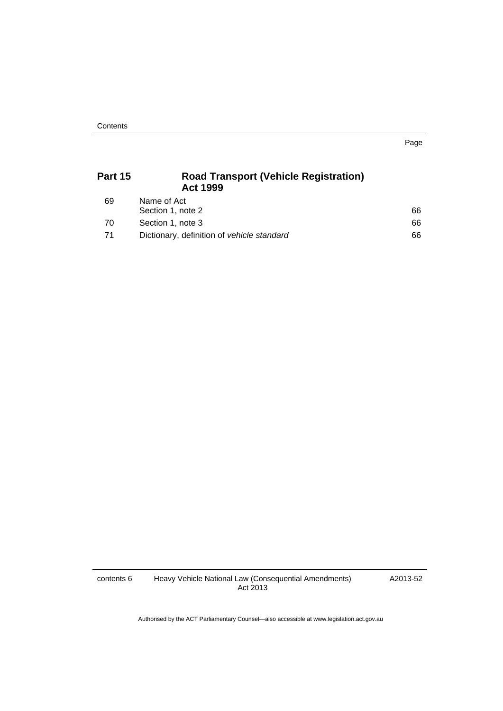Page

| Part 15 | <b>Road Transport (Vehicle Registration)</b><br><b>Act 1999</b> |    |
|---------|-----------------------------------------------------------------|----|
| 69      | Name of Act<br>Section 1, note 2                                | 66 |
| 70      | Section 1, note 3                                               | 66 |
| 71      | Dictionary, definition of vehicle standard                      | 66 |

contents 6 Heavy Vehicle National Law (Consequential Amendments) Act 2013

A2013-52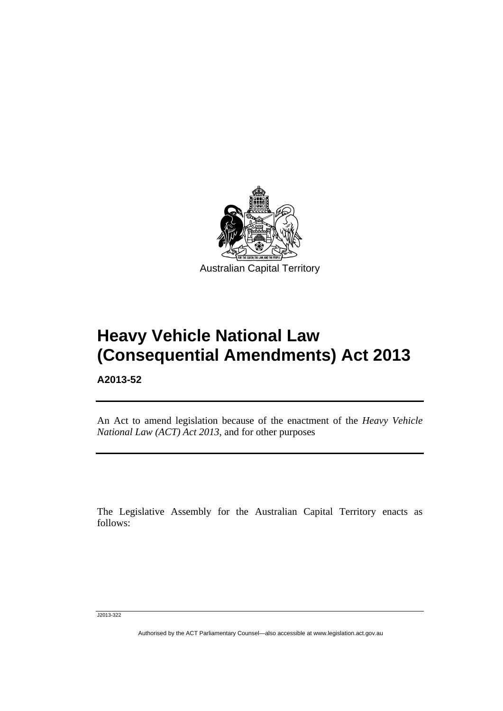

# **Heavy Vehicle National Law (Consequential Amendments) Act 2013**

**A2013-52** 

Ī

An Act to amend legislation because of the enactment of the *Heavy Vehicle National Law (ACT) Act 2013*, and for other purposes

The Legislative Assembly for the Australian Capital Territory enacts as follows:

J2013-322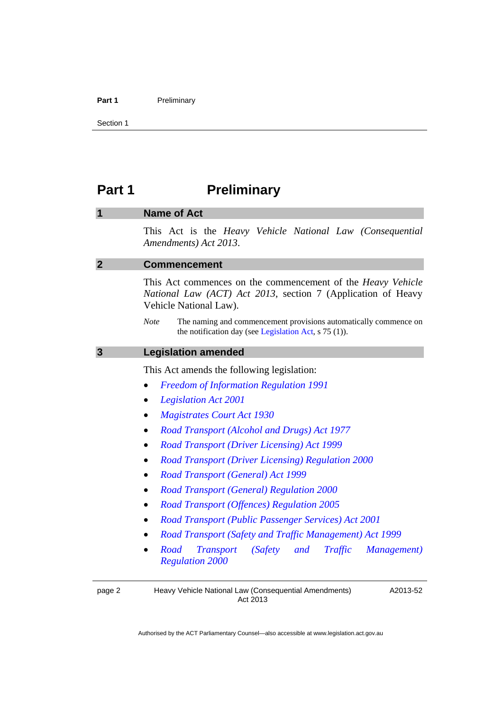#### Part 1 **Preliminary**

Section 1

## <span id="page-7-1"></span><span id="page-7-0"></span>**Part 1** Preliminary

## **1 Name of Act**

This Act is the *Heavy Vehicle National Law (Consequential Amendments) Act 2013*.

### <span id="page-7-2"></span>**2 Commencement**

This Act commences on the commencement of the *Heavy Vehicle National Law (ACT) Act 2013*, section 7 (Application of Heavy Vehicle National Law).

*Note* The naming and commencement provisions automatically commence on the notification day (see [Legislation Act,](http://www.legislation.act.gov.au/a/2001-14) s 75 (1)).

#### <span id="page-7-3"></span>**3 Legislation amended**

This Act amends the following legislation:

- *[Freedom of Information Regulation 1991](http://www.legislation.act.gov.au/sl/1991-3)*
- *[Legislation Act 2001](http://www.legislation.act.gov.au/a/2001-14)*
- *[Magistrates Court Act 1930](http://www.legislation.act.gov.au/a/1930-21)*
- *[Road Transport \(Alcohol and Drugs\) Act 1977](http://www.legislation.act.gov.au/a/1977-17)*
- *[Road Transport \(Driver Licensing\) Act 1999](http://www.legislation.act.gov.au/a/1999-78)*
- *[Road Transport \(Driver Licensing\) Regulation 2000](http://www.legislation.act.gov.au/sl/2000-14)*
- *[Road Transport \(General\) Act 1999](http://www.legislation.act.gov.au/a/1999-77)*
- *[Road Transport \(General\) Regulation 2000](http://www.legislation.act.gov.au/sl/2000-13)*
- *[Road Transport \(Offences\) Regulation 2005](http://www.legislation.act.gov.au/sl/2005-11)*
- *[Road Transport \(Public Passenger Services\) Act 2001](http://www.legislation.act.gov.au/a/2001-62/default.asp)*
- *[Road Transport \(Safety and Traffic Management\) Act 1999](http://www.legislation.act.gov.au/a/1999-80)*
- *[Road Transport \(Safety and Traffic Management\)](http://www.legislation.act.gov.au/sl/2000-10)  [Regulation 2000](http://www.legislation.act.gov.au/sl/2000-10)*

page 2 Heavy Vehicle National Law (Consequential Amendments) Act 2013

A2013-52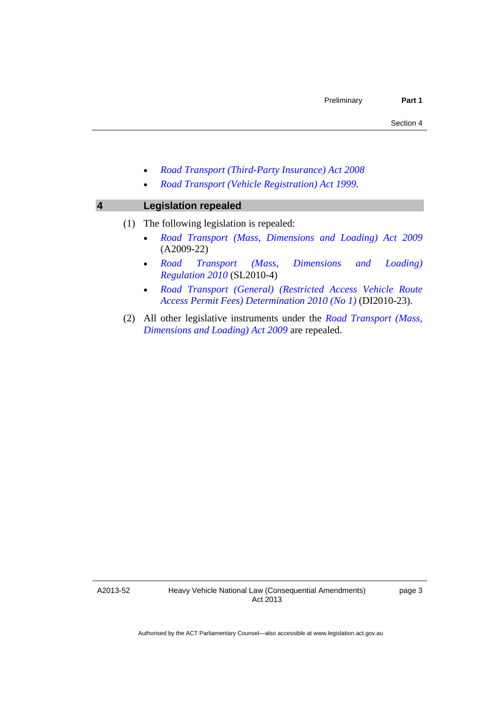- *[Road Transport \(Third-Party Insurance\) Act 2008](http://www.legislation.act.gov.au/a/2008-1)*
- *[Road Transport \(Vehicle Registration\) Act 1999](http://www.legislation.act.gov.au/a/1999-81)*.

## <span id="page-8-0"></span>**4 Legislation repealed**

### (1) The following legislation is repealed:

- *[Road Transport \(Mass, Dimensions and Loading\) Act 2009](http://www.legislation.act.gov.au/a/2009-22)* (A2009-22)
- *[Road Transport \(Mass, Dimensions and Loading\)](http://www.legislation.act.gov.au/sl/2010-4)  [Regulation 2010](http://www.legislation.act.gov.au/sl/2010-4)* (SL2010-4)
- *[Road Transport \(General\) \(Restricted Access Vehicle Route](http://www.legislation.act.gov.au/di/2010-23/default.asp)  [Access Permit Fees\) Determination 2010 \(No 1\)](http://www.legislation.act.gov.au/di/2010-23/default.asp)* (DI2010-23).
- (2) All other legislative instruments under the *[Road Transport \(Mass,](http://www.legislation.act.gov.au/a/2009-22)  [Dimensions and Loading\) Act 2009](http://www.legislation.act.gov.au/a/2009-22)* are repealed.

A2013-52

page 3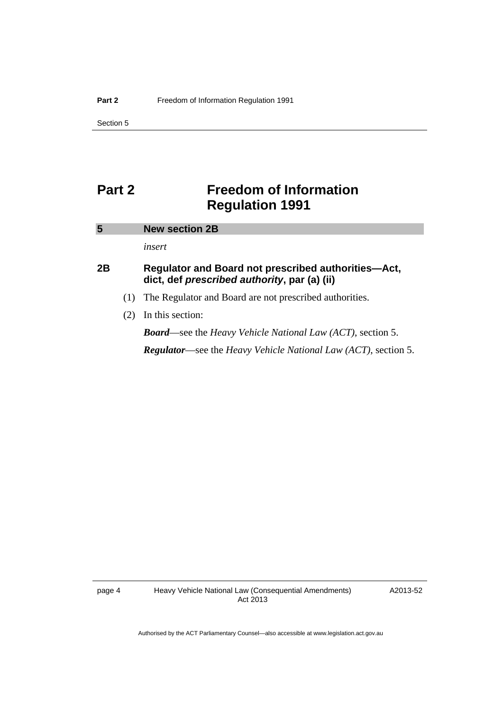Section 5

## <span id="page-9-0"></span>**Part 2 Freedom of Information Regulation 1991**

## <span id="page-9-1"></span>**5 New section 2B**  *insert*  **2B Regulator and Board not prescribed authorities—Act, dict, def** *prescribed authority***, par (a) (ii)**  (1) The Regulator and Board are not prescribed authorities. (2) In this section:

*Board*—see the *Heavy Vehicle National Law (ACT)*, section 5. *Regulator*—see the *Heavy Vehicle National Law (ACT)*, section 5.

A2013-52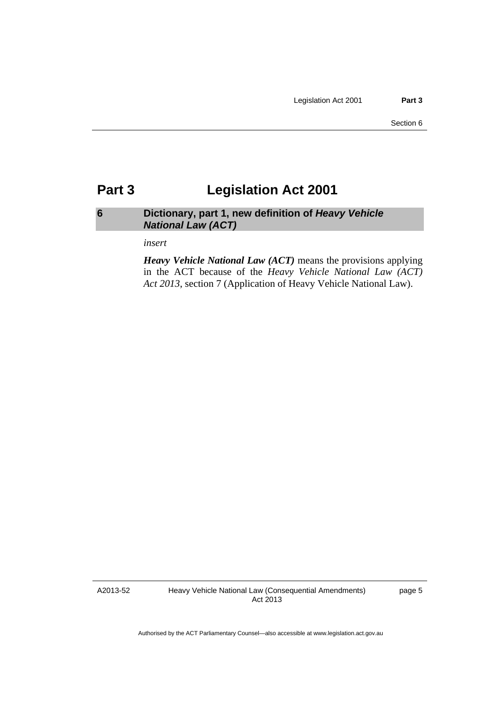## <span id="page-10-0"></span>**Part 3 Legislation Act 2001**

## <span id="page-10-1"></span>**6 Dictionary, part 1, new definition of** *Heavy Vehicle National Law (ACT)*

*insert* 

*Heavy Vehicle National Law (ACT)* means the provisions applying in the ACT because of the *Heavy Vehicle National Law (ACT) Act 2013*, section 7 (Application of Heavy Vehicle National Law).

A2013-52

page 5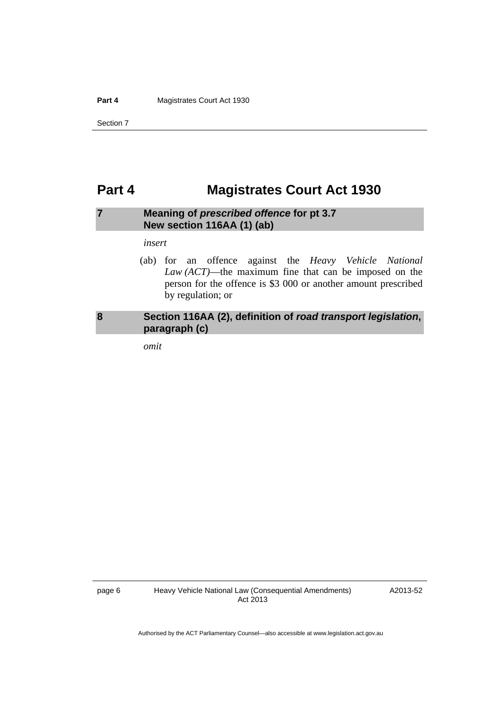Section 7

## <span id="page-11-0"></span>**Part 4 Magistrates Court Act 1930**

## <span id="page-11-1"></span>**7 Meaning of** *prescribed offence* **for pt 3.7 New section 116AA (1) (ab)**

#### *insert*

 (ab) for an offence against the *Heavy Vehicle National Law (ACT)*—the maximum fine that can be imposed on the person for the offence is \$3 000 or another amount prescribed by regulation; or

## <span id="page-11-2"></span>**8 Section 116AA (2), definition of** *road transport legislation***, paragraph (c)**

*omit* 

A2013-52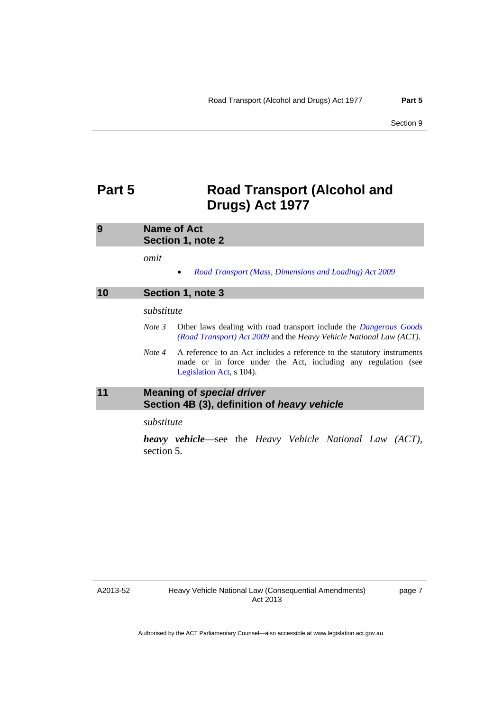## <span id="page-12-0"></span>**Part 5 Road Transport (Alcohol and Drugs) Act 1977**

<span id="page-12-1"></span>

| 9 | <b>Name of Act</b> |
|---|--------------------|
|   | Section 1, note 2  |
|   |                    |

*omit* 

*[Road Transport \(Mass, Dimensions and Loading\) Act 2009](http://www.legislation.act.gov.au/a/2009-22)*

<span id="page-12-2"></span>

| 10 |            | Section 1, note 3                                                                                                                                                    |
|----|------------|----------------------------------------------------------------------------------------------------------------------------------------------------------------------|
|    | substitute |                                                                                                                                                                      |
|    | Note 3     | Other laws dealing with road transport include the <i>Dangerous Goods</i><br>(Road Transport) Act 2009 and the Heavy Vehicle National Law (ACT).                     |
|    | Note 4     | A reference to an Act includes a reference to the statutory instruments<br>made or in force under the Act, including any regulation (see<br>Legislation Act, s 104). |
| 11 |            | Maaning of engrisl driver                                                                                                                                            |

## <span id="page-12-3"></span>**11 Meaning of** *special driver*  **Section 4B (3), definition of** *heavy vehicle*

*substitute* 

*heavy vehicle*—see the *Heavy Vehicle National Law (ACT)*, section 5.

A2013-52

page 7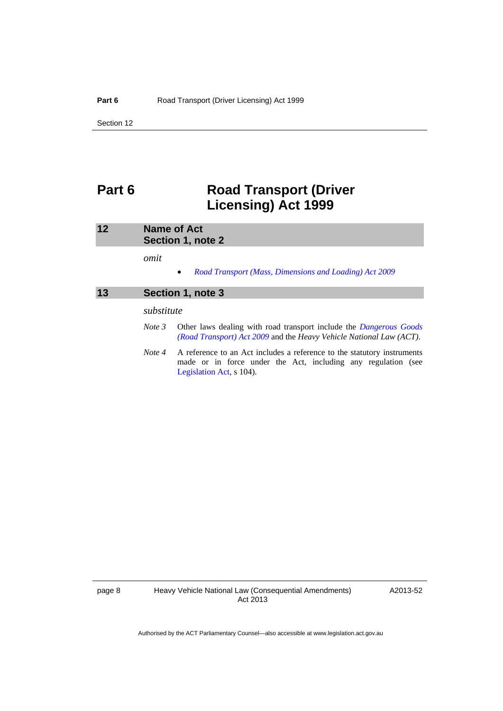## <span id="page-13-0"></span>**Part 6 Road Transport (Driver Licensing) Act 1999**

<span id="page-13-2"></span><span id="page-13-1"></span>

| 12 |            | <b>Name of Act</b><br>Section 1, note 2                                                                                                                              |  |  |  |
|----|------------|----------------------------------------------------------------------------------------------------------------------------------------------------------------------|--|--|--|
|    | omit       |                                                                                                                                                                      |  |  |  |
| 13 |            | Road Transport (Mass, Dimensions and Loading) Act 2009<br>$\bullet$<br>Section 1, note 3                                                                             |  |  |  |
|    | substitute |                                                                                                                                                                      |  |  |  |
|    | Note 3     | Other laws dealing with road transport include the <i>Dangerous Goods</i><br>(Road Transport) Act 2009 and the Heavy Vehicle National Law (ACT).                     |  |  |  |
|    | Note 4     | A reference to an Act includes a reference to the statutory instruments<br>made or in force under the Act, including any regulation (see<br>Legislation Act, s 104). |  |  |  |

A2013-52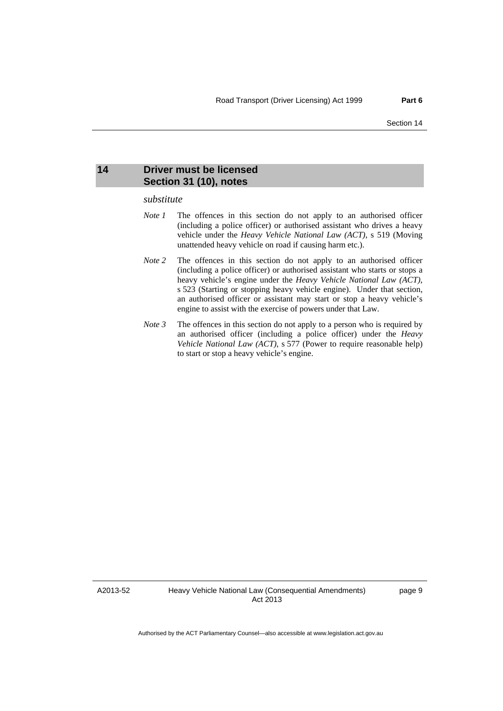### <span id="page-14-0"></span>**14 Driver must be licensed Section 31 (10), notes**

#### *substitute*

- *Note 1* The offences in this section do not apply to an authorised officer (including a police officer) or authorised assistant who drives a heavy vehicle under the *Heavy Vehicle National Law (ACT)*, s 519 (Moving unattended heavy vehicle on road if causing harm etc.).
- *Note* 2 The offences in this section do not apply to an authorised officer (including a police officer) or authorised assistant who starts or stops a heavy vehicle's engine under the *Heavy Vehicle National Law (ACT)*, s 523 (Starting or stopping heavy vehicle engine). Under that section, an authorised officer or assistant may start or stop a heavy vehicle's engine to assist with the exercise of powers under that Law.
- *Note 3* The offences in this section do not apply to a person who is required by an authorised officer (including a police officer) under the *Heavy Vehicle National Law (ACT)*, s 577 (Power to require reasonable help) to start or stop a heavy vehicle's engine.

A2013-52

page 9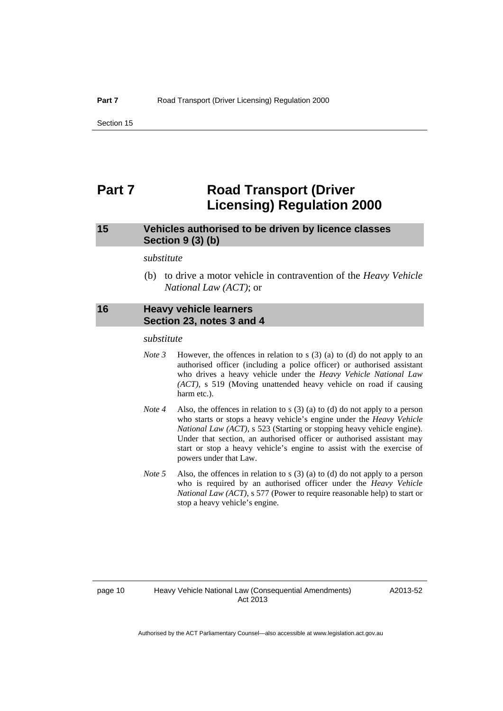## <span id="page-15-0"></span>**Part 7** Road Transport (Driver **Licensing) Regulation 2000**

## <span id="page-15-1"></span>**15 Vehicles authorised to be driven by licence classes Section 9 (3) (b)**

#### *substitute*

 (b) to drive a motor vehicle in contravention of the *Heavy Vehicle National Law (ACT)*; or

### <span id="page-15-2"></span>**16 Heavy vehicle learners Section 23, notes 3 and 4**

#### *substitute*

- *Note 3* However, the offences in relation to s (3) (a) to (d) do not apply to an authorised officer (including a police officer) or authorised assistant who drives a heavy vehicle under the *Heavy Vehicle National Law (ACT)*, s 519 (Moving unattended heavy vehicle on road if causing harm etc.).
- *Note 4* Also, the offences in relation to s (3) (a) to (d) do not apply to a person who starts or stops a heavy vehicle's engine under the *Heavy Vehicle National Law (ACT)*, s 523 (Starting or stopping heavy vehicle engine). Under that section, an authorised officer or authorised assistant may start or stop a heavy vehicle's engine to assist with the exercise of powers under that Law.
- *Note 5* Also, the offences in relation to s (3) (a) to (d) do not apply to a person who is required by an authorised officer under the *Heavy Vehicle National Law (ACT)*, s 577 (Power to require reasonable help) to start or stop a heavy vehicle's engine.

#### page 10 Heavy Vehicle National Law (Consequential Amendments) Act 2013

A2013-52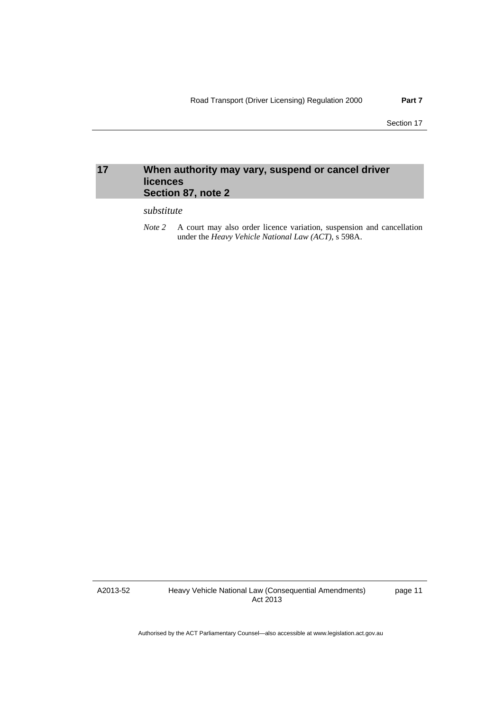## <span id="page-16-0"></span>**17 When authority may vary, suspend or cancel driver licences Section 87, note 2**

#### *substitute*

*Note 2* A court may also order licence variation, suspension and cancellation under the *Heavy Vehicle National Law (ACT)*, s 598A.

A2013-52

Heavy Vehicle National Law (Consequential Amendments) Act 2013

page 11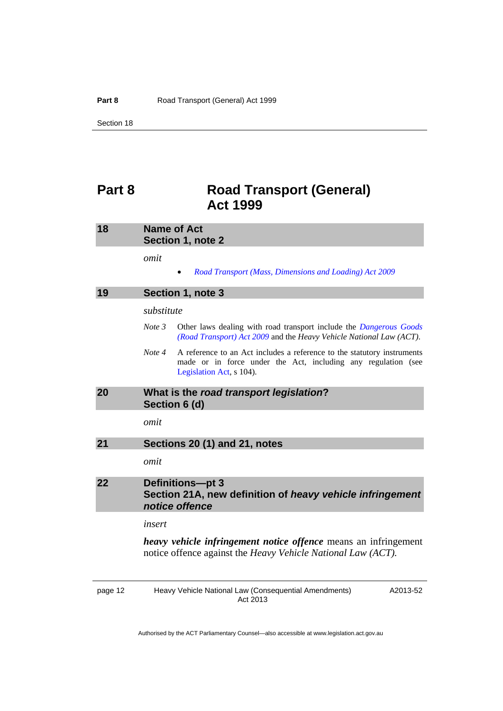## <span id="page-17-0"></span>**Part 8 Road Transport (General) Act 1999**

<span id="page-17-3"></span><span id="page-17-2"></span><span id="page-17-1"></span>

| 18 | <b>Name of Act</b><br>Section 1, note 2                                                                                                                                        |
|----|--------------------------------------------------------------------------------------------------------------------------------------------------------------------------------|
|    | omit<br>Road Transport (Mass, Dimensions and Loading) Act 2009                                                                                                                 |
| 19 | Section 1, note 3                                                                                                                                                              |
|    | substitute                                                                                                                                                                     |
|    | Note 3<br>Other laws dealing with road transport include the <i>Dangerous Goods</i><br>(Road Transport) Act 2009 and the Heavy Vehicle National Law (ACT).                     |
|    | Note 4<br>A reference to an Act includes a reference to the statutory instruments<br>made or in force under the Act, including any regulation (see<br>Legislation Act, s 104). |
| 20 | What is the road transport legislation?<br>Section 6 (d)                                                                                                                       |
|    | omit                                                                                                                                                                           |
| 21 | Sections 20 (1) and 21, notes                                                                                                                                                  |
|    | omit                                                                                                                                                                           |
| 22 | <b>Definitions-pt 3</b><br>Section 21A, new definition of heavy vehicle infringement<br>notice offence                                                                         |

#### <span id="page-17-4"></span>*insert*

*heavy vehicle infringement notice offence* means an infringement notice offence against the *Heavy Vehicle National Law (ACT).*

<span id="page-17-5"></span>page 12 Heavy Vehicle National Law (Consequential Amendments) Act 2013

A2013-52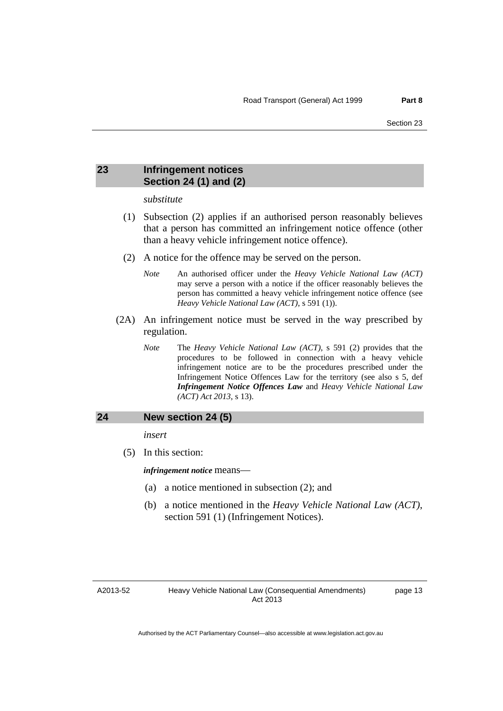## <span id="page-18-0"></span>**23 Infringement notices Section 24 (1) and (2)**

#### *substitute*

- (1) Subsection (2) applies if an authorised person reasonably believes that a person has committed an infringement notice offence (other than a heavy vehicle infringement notice offence).
- (2) A notice for the offence may be served on the person.
	- *Note* An authorised officer under the *Heavy Vehicle National Law (ACT)* may serve a person with a notice if the officer reasonably believes the person has committed a heavy vehicle infringement notice offence (see *Heavy Vehicle National Law (ACT)*, s 591 (1)).
- (2A) An infringement notice must be served in the way prescribed by regulation.
	- *Note* The *Heavy Vehicle National Law (ACT)*, s 591 (2) provides that the procedures to be followed in connection with a heavy vehicle infringement notice are to be the procedures prescribed under the Infringement Notice Offences Law for the territory (see also s 5, def *Infringement Notice Offences Law* and *Heavy Vehicle National Law (ACT) Act 2013*, s 13).

#### <span id="page-18-1"></span>**24 New section 24 (5)**

*insert* 

(5) In this section:

*infringement notice* means—

- (a) a notice mentioned in subsection (2); and
- (b) a notice mentioned in the *Heavy Vehicle National Law (ACT)*, section 591 (1) (Infringement Notices).

#### A2013-52

page 13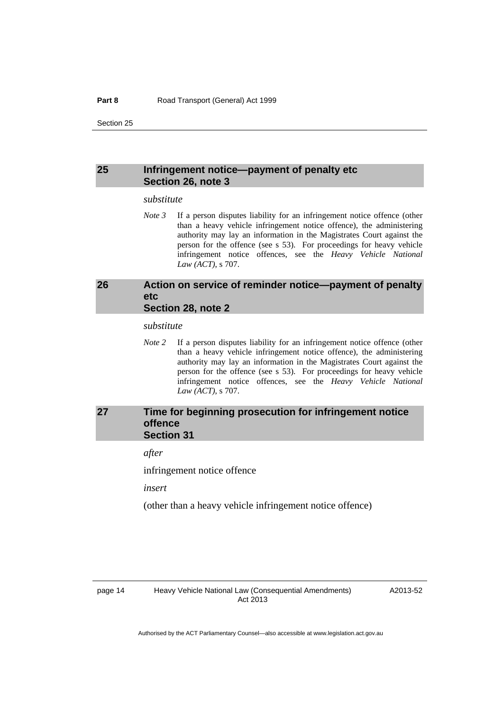Section 25

### <span id="page-19-0"></span>**25 Infringement notice—payment of penalty etc Section 26, note 3**

#### *substitute*

*Note 3* If a person disputes liability for an infringement notice offence (other than a heavy vehicle infringement notice offence), the administering authority may lay an information in the Magistrates Court against the person for the offence (see s 53). For proceedings for heavy vehicle infringement notice offences, see the *Heavy Vehicle National Law (ACT)*, s 707.

## <span id="page-19-1"></span>**26 Action on service of reminder notice—payment of penalty etc Section 28, note 2**

#### *substitute*

*Note* 2 If a person disputes liability for an infringement notice offence (other than a heavy vehicle infringement notice offence), the administering authority may lay an information in the Magistrates Court against the person for the offence (see s 53). For proceedings for heavy vehicle infringement notice offences, see the *Heavy Vehicle National Law (ACT)*, s 707.

## <span id="page-19-2"></span>**27 Time for beginning prosecution for infringement notice offence Section 31**

*after* 

infringement notice offence

*insert* 

(other than a heavy vehicle infringement notice offence)

A2013-52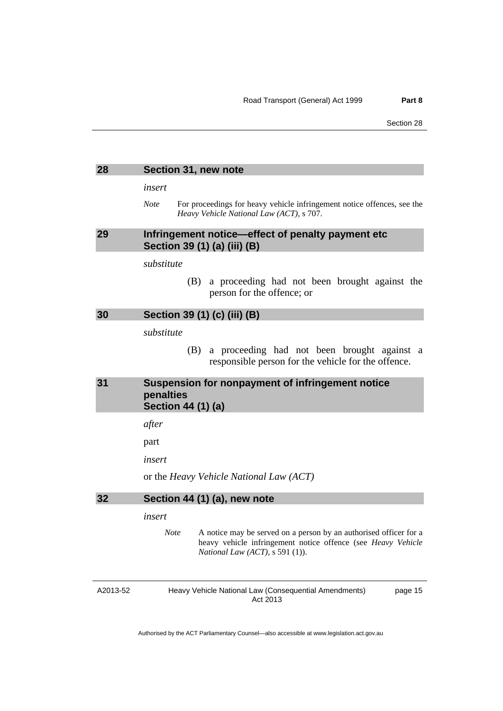<span id="page-20-2"></span><span id="page-20-1"></span><span id="page-20-0"></span>

| 28 | Section 31, new note                                                                                                                                                                |
|----|-------------------------------------------------------------------------------------------------------------------------------------------------------------------------------------|
|    | insert                                                                                                                                                                              |
|    | <b>Note</b><br>For proceedings for heavy vehicle infringement notice offences, see the<br>Heavy Vehicle National Law (ACT), s 707.                                                  |
| 29 | Infringement notice-effect of penalty payment etc<br>Section 39 (1) (a) (iii) (B)                                                                                                   |
|    | substitute                                                                                                                                                                          |
|    | a proceeding had not been brought against the<br>(B)<br>person for the offence; or                                                                                                  |
| 30 | Section 39 (1) (c) (iii) (B)                                                                                                                                                        |
|    | substitute                                                                                                                                                                          |
|    | a proceeding had not been brought against a<br>(B)<br>responsible person for the vehicle for the offence.                                                                           |
| 31 | Suspension for nonpayment of infringement notice<br>penalties<br>Section 44 (1) (a)                                                                                                 |
|    | after                                                                                                                                                                               |
|    | part                                                                                                                                                                                |
|    | insert                                                                                                                                                                              |
|    | or the Heavy Vehicle National Law (ACT)                                                                                                                                             |
| 32 | Section 44 (1) (a), new note                                                                                                                                                        |
|    | insert                                                                                                                                                                              |
|    | <b>Note</b><br>A notice may be served on a person by an authorised officer for a<br>heavy vehicle infringement notice offence (see Heavy Vehicle<br>National Law (ACT), s 591 (1)). |
|    |                                                                                                                                                                                     |

<span id="page-20-4"></span><span id="page-20-3"></span>A2013-52

Heavy Vehicle National Law (Consequential Amendments) Act 2013

page 15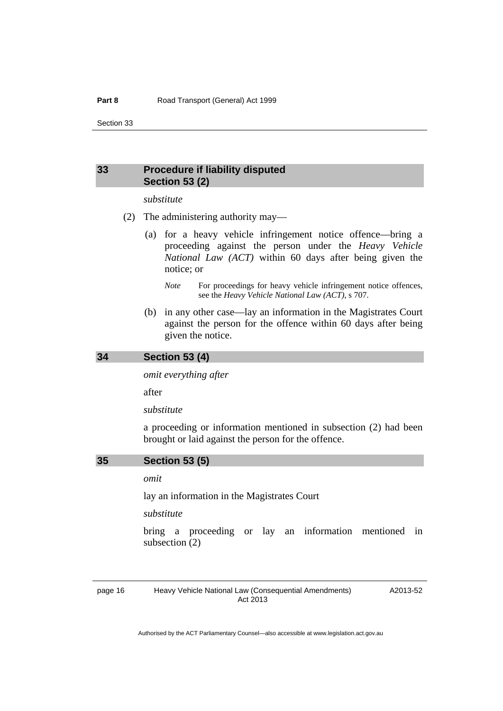Section 33

## <span id="page-21-0"></span>**33 Procedure if liability disputed Section 53 (2)**

### *substitute*

- (2) The administering authority may—
	- (a) for a heavy vehicle infringement notice offence—bring a proceeding against the person under the *Heavy Vehicle National Law (ACT)* within 60 days after being given the notice; or
		- *Note* For proceedings for heavy vehicle infringement notice offences, see the *Heavy Vehicle National Law (ACT)*, s 707.
	- (b) in any other case—lay an information in the Magistrates Court against the person for the offence within 60 days after being given the notice.

<span id="page-21-1"></span>

*omit everything after* 

after

*substitute* 

a proceeding or information mentioned in subsection (2) had been brought or laid against the person for the offence.

<span id="page-21-2"></span>

#### *omit*

lay an information in the Magistrates Court

*substitute* 

bring a proceeding or lay an information mentioned in subsection (2)

page 16 Heavy Vehicle National Law (Consequential Amendments) Act 2013

A2013-52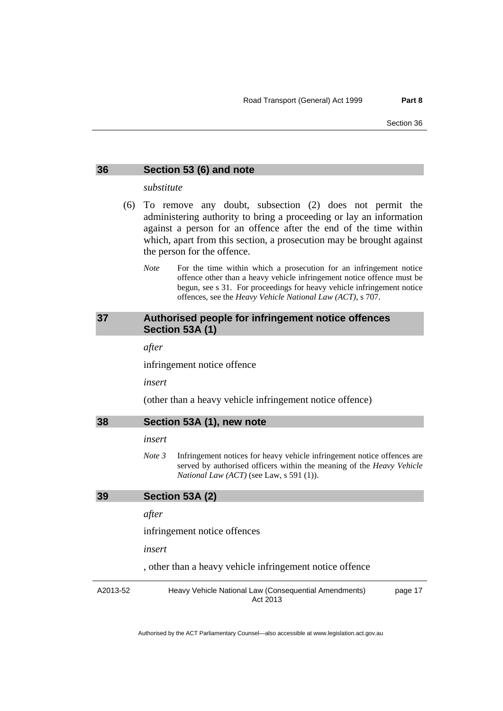#### <span id="page-22-0"></span>**36 Section 53 (6) and note**

#### *substitute*

- (6) To remove any doubt, subsection (2) does not permit the administering authority to bring a proceeding or lay an information against a person for an offence after the end of the time within which, apart from this section, a prosecution may be brought against the person for the offence.
	- *Note* For the time within which a prosecution for an infringement notice offence other than a heavy vehicle infringement notice offence must be begun, see s 31. For proceedings for heavy vehicle infringement notice offences, see the *Heavy Vehicle National Law (ACT)*, s 707.

## <span id="page-22-1"></span>**37 Authorised people for infringement notice offences Section 53A (1)**

*after* 

infringement notice offence

*insert* 

(other than a heavy vehicle infringement notice offence)

<span id="page-22-2"></span>

| Section 53A (1), new note | 38 |  |  |  |  |  |
|---------------------------|----|--|--|--|--|--|
|---------------------------|----|--|--|--|--|--|

### *insert*

*Note 3* Infringement notices for heavy vehicle infringement notice offences are served by authorised officers within the meaning of the *Heavy Vehicle National Law (ACT)* (see Law, s 591 (1)).

### <span id="page-22-3"></span>**39 Section 53A (2)**

#### *after*

infringement notice offences

*insert* 

, other than a heavy vehicle infringement notice offence

A2013-52 Heavy Vehicle National Law (Consequential Amendments) Act 2013 page 17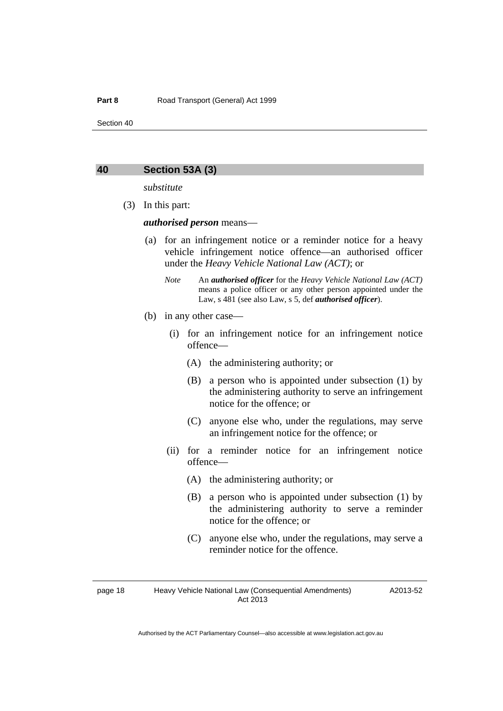Section 40

#### <span id="page-23-0"></span>**40 Section 53A (3)**

*substitute* 

(3) In this part:

*authorised person* means—

- (a) for an infringement notice or a reminder notice for a heavy vehicle infringement notice offence—an authorised officer under the *Heavy Vehicle National Law (ACT)*; or
	- *Note* An *authorised officer* for the *Heavy Vehicle National Law (ACT)* means a police officer or any other person appointed under the Law, s 481 (see also Law, s 5, def *authorised officer*).
- (b) in any other case—
	- (i) for an infringement notice for an infringement notice offence—
		- (A) the administering authority; or
		- (B) a person who is appointed under subsection (1) by the administering authority to serve an infringement notice for the offence; or
		- (C) anyone else who, under the regulations, may serve an infringement notice for the offence; or
	- (ii) for a reminder notice for an infringement notice offence—
		- (A) the administering authority; or
		- (B) a person who is appointed under subsection (1) by the administering authority to serve a reminder notice for the offence; or
		- (C) anyone else who, under the regulations, may serve a reminder notice for the offence.

page 18 Heavy Vehicle National Law (Consequential Amendments) Act 2013

A2013-52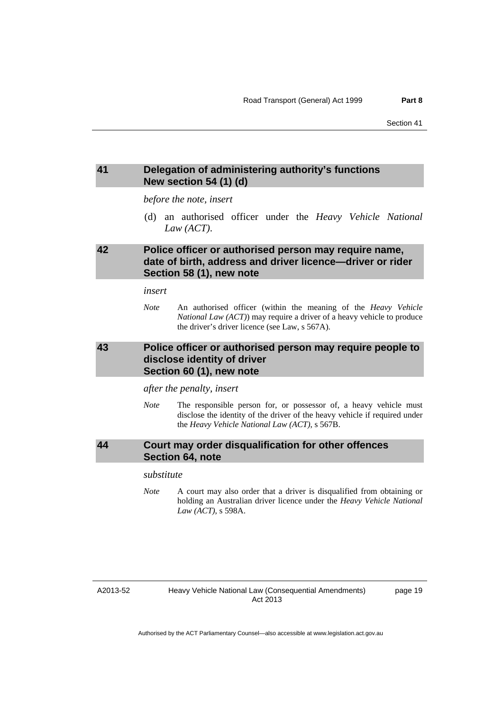## <span id="page-24-0"></span>**41 Delegation of administering authority's functions New section 54 (1) (d)**

*before the note, insert* 

 (d) an authorised officer under the *Heavy Vehicle National Law (ACT)*.

## <span id="page-24-1"></span>**42 Police officer or authorised person may require name, date of birth, address and driver licence—driver or rider Section 58 (1), new note**

*insert* 

*Note* An authorised officer (within the meaning of the *Heavy Vehicle National Law (ACT)*) may require a driver of a heavy vehicle to produce the driver's driver licence (see Law, s 567A).

## <span id="page-24-2"></span>**43 Police officer or authorised person may require people to disclose identity of driver Section 60 (1), new note**

*after the penalty, insert* 

*Note* The responsible person for, or possessor of, a heavy vehicle must disclose the identity of the driver of the heavy vehicle if required under the *Heavy Vehicle National Law (ACT)*, s 567B.

## <span id="page-24-3"></span>**44 Court may order disqualification for other offences Section 64, note**

### *substitute*

*Note* A court may also order that a driver is disqualified from obtaining or holding an Australian driver licence under the *Heavy Vehicle National Law (ACT)*, s 598A.

page 19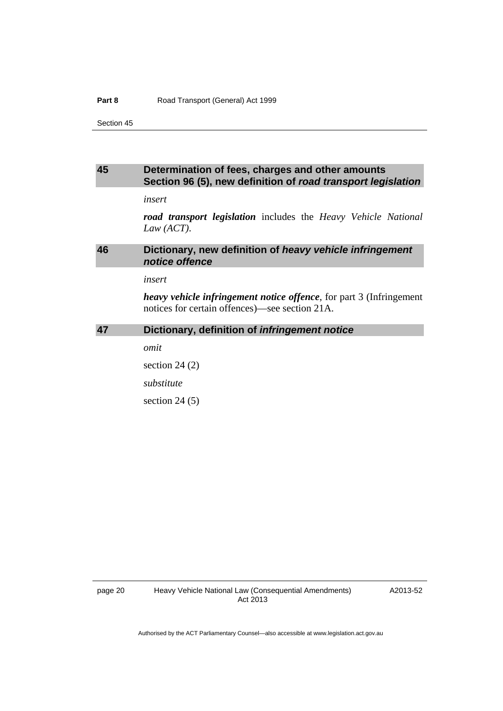#### Part 8 **Part 8** Road Transport (General) Act 1999

Section 45

## <span id="page-25-0"></span>**45 Determination of fees, charges and other amounts Section 96 (5), new definition of** *road transport legislation*

*insert* 

*road transport legislation* includes the *Heavy Vehicle National Law (ACT)*.

## <span id="page-25-1"></span>**46 Dictionary, new definition of** *heavy vehicle infringement notice offence*

*insert* 

*heavy vehicle infringement notice offence*, for part 3 (Infringement notices for certain offences)—see section 21A.

### <span id="page-25-2"></span>**47 Dictionary, definition of** *infringement notice*

*omit* 

section 24 (2)

*substitute* 

section 24 (5)

A2013-52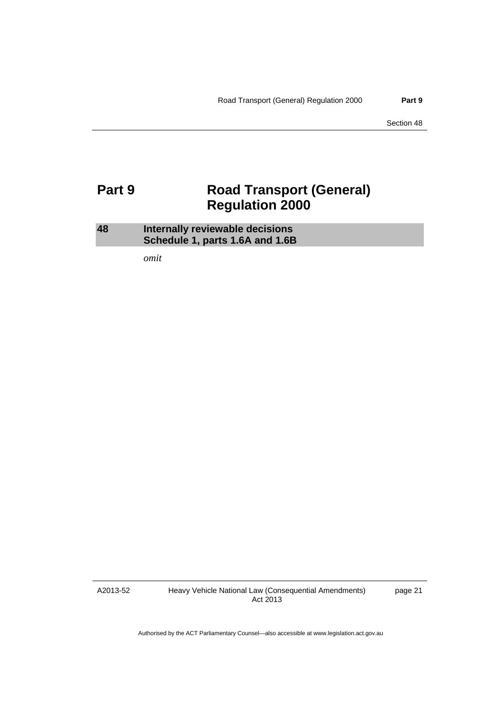Section 48

## <span id="page-26-0"></span>**Part 9 Road Transport (General) Regulation 2000**

<span id="page-26-1"></span>

| 48 | Internally reviewable decisions |  |  |
|----|---------------------------------|--|--|
|    | Schedule 1, parts 1.6A and 1.6B |  |  |

*omit* 

A2013-52

Heavy Vehicle National Law (Consequential Amendments) Act 2013

page 21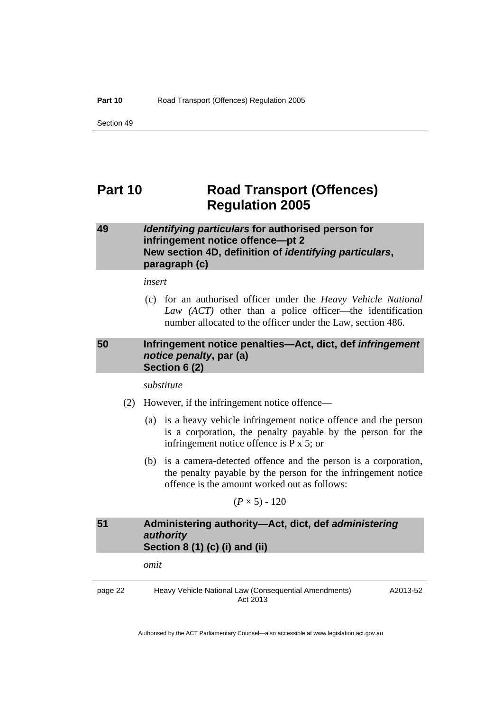Section 49

## <span id="page-27-0"></span>**Part 10 Road Transport (Offences) Regulation 2005**

## <span id="page-27-1"></span>**49** *Identifying particulars* **for authorised person for infringement notice offence—pt 2 New section 4D, definition of** *identifying particulars***, paragraph (c)**

*insert* 

 (c) for an authorised officer under the *Heavy Vehicle National Law (ACT)* other than a police officer—the identification number allocated to the officer under the Law, section 486.

## <span id="page-27-2"></span>**50 Infringement notice penalties—Act, dict, def** *infringement notice penalty***, par (a) Section 6 (2)**

*substitute* 

- (2) However, if the infringement notice offence—
	- (a) is a heavy vehicle infringement notice offence and the person is a corporation, the penalty payable by the person for the infringement notice offence is P x 5; or
	- (b) is a camera-detected offence and the person is a corporation, the penalty payable by the person for the infringement notice offence is the amount worked out as follows:

 $(P \times 5) - 120$ 

## <span id="page-27-3"></span>**51 Administering authority—Act, dict, def** *administering authority*  **Section 8 (1) (c) (i) and (ii)**

*omit* 

page 22 Heavy Vehicle National Law (Consequential Amendments) Act 2013

A2013-52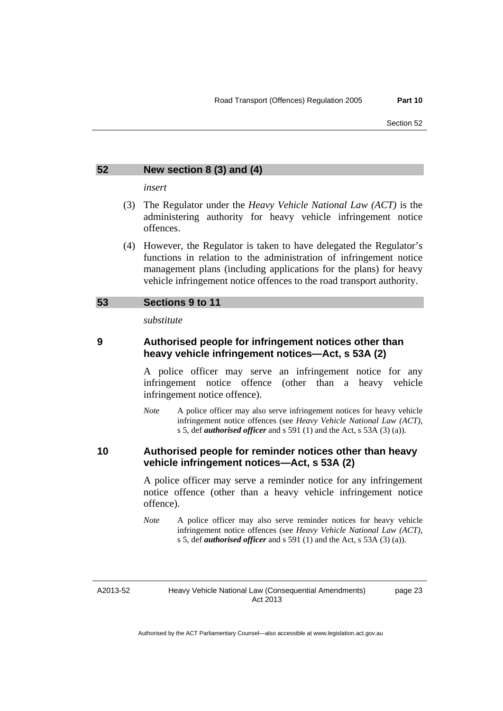#### <span id="page-28-0"></span>**52 New section 8 (3) and (4)**

*insert* 

- (3) The Regulator under the *Heavy Vehicle National Law (ACT)* is the administering authority for heavy vehicle infringement notice offences.
- (4) However, the Regulator is taken to have delegated the Regulator's functions in relation to the administration of infringement notice management plans (including applications for the plans) for heavy vehicle infringement notice offences to the road transport authority.

#### <span id="page-28-1"></span>**53 Sections 9 to 11**

*substitute* 

## **9 Authorised people for infringement notices other than heavy vehicle infringement notices—Act, s 53A (2)**

A police officer may serve an infringement notice for any infringement notice offence (other than a heavy vehicle infringement notice offence).

*Note* A police officer may also serve infringement notices for heavy vehicle infringement notice offences (see *Heavy Vehicle National Law (ACT)*, s 5, def *authorised officer* and s 591 (1) and the Act, s 53A (3) (a)).

## **10 Authorised people for reminder notices other than heavy vehicle infringement notices—Act, s 53A (2)**

A police officer may serve a reminder notice for any infringement notice offence (other than a heavy vehicle infringement notice offence).

*Note* A police officer may also serve reminder notices for heavy vehicle infringement notice offences (see *Heavy Vehicle National Law (ACT)*, s 5, def *authorised officer* and s 591 (1) and the Act, s 53A (3) (a)).

A2013-52

page 23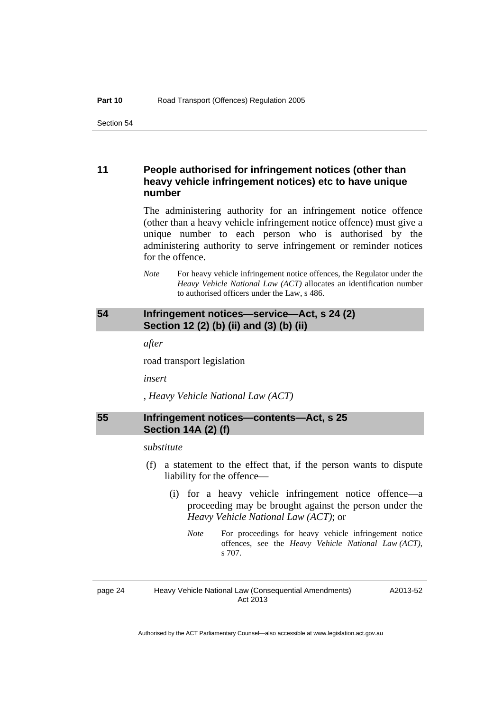## **11 People authorised for infringement notices (other than heavy vehicle infringement notices) etc to have unique number**

The administering authority for an infringement notice offence (other than a heavy vehicle infringement notice offence) must give a unique number to each person who is authorised by the administering authority to serve infringement or reminder notices for the offence.

*Note* For heavy vehicle infringement notice offences, the Regulator under the *Heavy Vehicle National Law (ACT)* allocates an identification number to authorised officers under the Law, s 486.

## <span id="page-29-0"></span>**54 Infringement notices—service—Act, s 24 (2) Section 12 (2) (b) (ii) and (3) (b) (ii)**

*after* 

road transport legislation

*insert* 

, *Heavy Vehicle National Law (ACT)* 

## <span id="page-29-1"></span>**55 Infringement notices—contents—Act, s 25 Section 14A (2) (f)**

#### *substitute*

- (f) a statement to the effect that, if the person wants to dispute liability for the offence—
	- (i) for a heavy vehicle infringement notice offence—a proceeding may be brought against the person under the *Heavy Vehicle National Law (ACT)*; or
		- *Note* For proceedings for heavy vehicle infringement notice offences, see the *Heavy Vehicle National Law (ACT)*, s 707.

page 24 Heavy Vehicle National Law (Consequential Amendments) Act 2013

A2013-52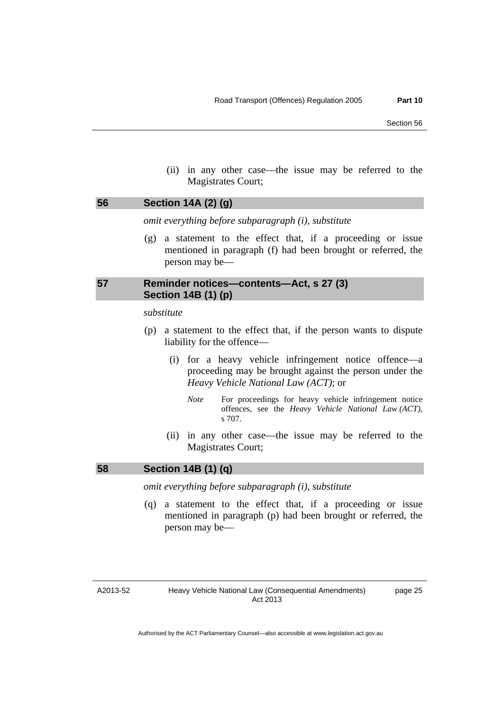(ii) in any other case—the issue may be referred to the Magistrates Court;

### <span id="page-30-0"></span>**56 Section 14A (2) (g)**

*omit everything before subparagraph (i), substitute* 

 (g) a statement to the effect that, if a proceeding or issue mentioned in paragraph (f) had been brought or referred, the person may be—

## <span id="page-30-1"></span>**57 Reminder notices—contents—Act, s 27 (3) Section 14B (1) (p)**

#### *substitute*

- (p) a statement to the effect that, if the person wants to dispute liability for the offence—
	- (i) for a heavy vehicle infringement notice offence—a proceeding may be brought against the person under the *Heavy Vehicle National Law (ACT)*; or
		- *Note* For proceedings for heavy vehicle infringement notice offences, see the *Heavy Vehicle National Law (ACT)*, s 707.
	- (ii) in any other case—the issue may be referred to the Magistrates Court;

### <span id="page-30-2"></span>**58 Section 14B (1) (q)**

*omit everything before subparagraph (i), substitute* 

 (q) a statement to the effect that, if a proceeding or issue mentioned in paragraph (p) had been brought or referred, the person may be—

## A2013-52

page 25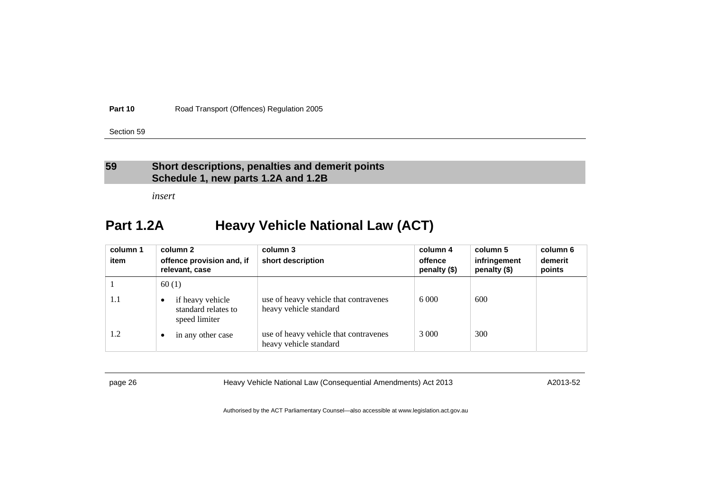**Part 10**Road Transport (Offences) Regulation 2005

Section 59

## **59 Short descriptions, penalties and demerit points Schedule 1, new parts 1.2A and 1.2B**

*insert* 

## **Part 1.2A Heavy Vehicle National Law (ACT)**

| column 1 | column 2                                                              | column 3                                                        | column 4                | column 5                     | column 6          |
|----------|-----------------------------------------------------------------------|-----------------------------------------------------------------|-------------------------|------------------------------|-------------------|
| item     | offence provision and, if<br>relevant, case                           | short description                                               | offence<br>penalty (\$) | infringement<br>penalty (\$) | demerit<br>points |
|          | 60(1)                                                                 |                                                                 |                         |                              |                   |
| 1.1      | if heavy vehicle<br>$\bullet$<br>standard relates to<br>speed limiter | use of heavy vehicle that contravenes<br>heavy vehicle standard | 6 0 0 0                 | 600                          |                   |
| 1.2      | in any other case<br>$\bullet$                                        | use of heavy vehicle that contravenes<br>heavy vehicle standard | 3 0 0 0                 | 300                          |                   |

<span id="page-31-0"></span>

page 26 **Heavy Vehicle National Law (Consequential Amendments) Act 2013** A2013-52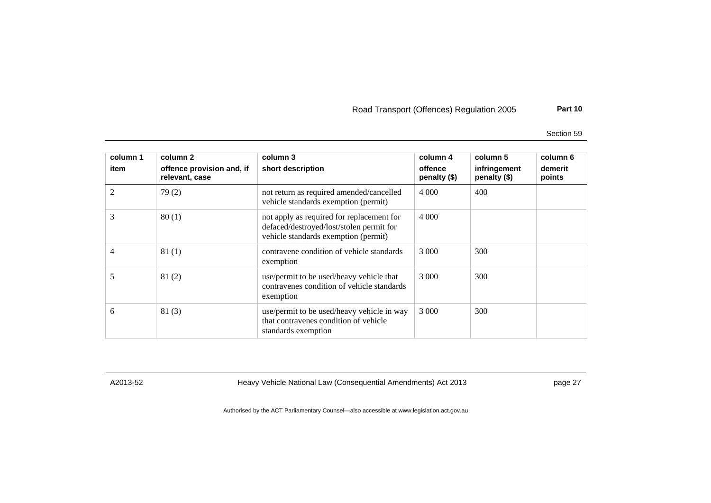Road Transport (Offences) Regulation 2005 **Part 10**

Section 59

| column 1<br>item | column 2<br>offence provision and, if<br>relevant, case | column 3<br>short description                                                                                                 | column 4<br>offence<br>penalty (\$) | column 5<br>infringement<br>penalty (\$) | column 6<br>demerit<br>points |
|------------------|---------------------------------------------------------|-------------------------------------------------------------------------------------------------------------------------------|-------------------------------------|------------------------------------------|-------------------------------|
| 2                | 79(2)                                                   | not return as required amended/cancelled<br>vehicle standards exemption (permit)                                              | 4 0 0 0                             | 400                                      |                               |
| 3                | 80(1)                                                   | not apply as required for replacement for<br>defaced/destroyed/lost/stolen permit for<br>vehicle standards exemption (permit) | 4 0 0 0                             |                                          |                               |
| 4                | 81(1)                                                   | contravene condition of vehicle standards<br>exemption                                                                        | 3 000                               | 300                                      |                               |
| 5                | 81(2)                                                   | use/permit to be used/heavy vehicle that<br>contravenes condition of vehicle standards<br>exemption                           | 3 0 0 0                             | 300                                      |                               |
| 6                | 81(3)                                                   | use/permit to be used/heavy vehicle in way<br>that contravenes condition of vehicle<br>standards exemption                    | 3 0 0 0                             | 300                                      |                               |

A2013-52 Heavy Vehicle National Law (Consequential Amendments) Act 2013 page 27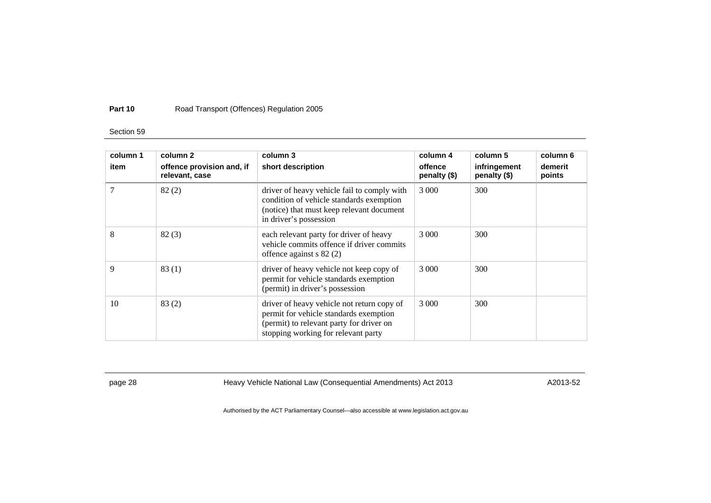#### **Part 10**Road Transport (Offences) Regulation 2005

#### Section 59

| column 1<br>item | column 2<br>offence provision and, if<br>relevant, case | column 3<br>short description                                                                                                                                           | column 4<br>offence<br>penalty (\$) | column 5<br>infringement<br>penalty (\$) | column 6<br>demerit<br>points |
|------------------|---------------------------------------------------------|-------------------------------------------------------------------------------------------------------------------------------------------------------------------------|-------------------------------------|------------------------------------------|-------------------------------|
| 7                | 82(2)                                                   | driver of heavy vehicle fail to comply with<br>condition of vehicle standards exemption<br>(notice) that must keep relevant document<br>in driver's possession          | 3 0 0 0                             | 300                                      |                               |
| 8                | 82(3)                                                   | each relevant party for driver of heavy<br>vehicle commits offence if driver commits<br>offence against $s$ 82 $(2)$                                                    | 3 0 0 0                             | 300                                      |                               |
| 9                | 83(1)                                                   | driver of heavy vehicle not keep copy of<br>permit for vehicle standards exemption<br>(permit) in driver's possession                                                   | 3 000                               | 300                                      |                               |
| 10               | 83(2)                                                   | driver of heavy vehicle not return copy of<br>permit for vehicle standards exemption<br>(permit) to relevant party for driver on<br>stopping working for relevant party | 3 000                               | 300                                      |                               |

page 28 **Heavy Vehicle National Law (Consequential Amendments) Act 2013** A2013-52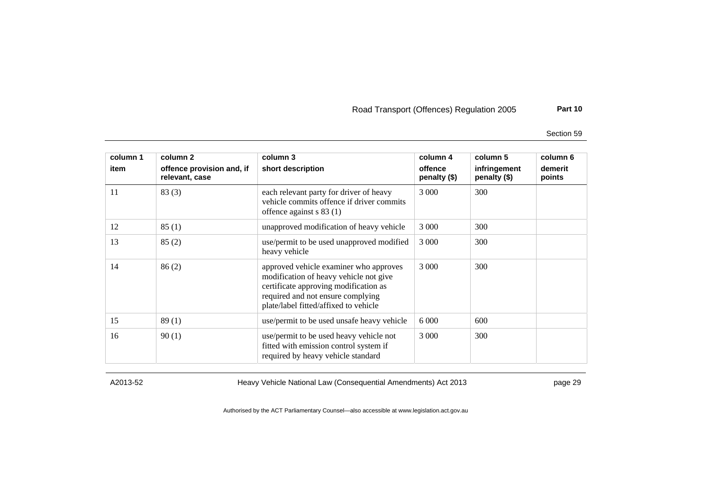Road Transport (Offences) Regulation 2005 **Part 10**

Section 59

| column 1<br>item | column 2<br>offence provision and, if<br>relevant, case | column 3<br>short description                                                                                                                                                                           | column 4<br>offence<br>penalty (\$) | column 5<br>infringement<br>penalty (\$) | column 6<br>demerit<br>points |
|------------------|---------------------------------------------------------|---------------------------------------------------------------------------------------------------------------------------------------------------------------------------------------------------------|-------------------------------------|------------------------------------------|-------------------------------|
| 11               | 83(3)                                                   | each relevant party for driver of heavy<br>vehicle commits offence if driver commits<br>offence against s 83 (1)                                                                                        | 3 0 0 0                             | 300                                      |                               |
| 12               | 85(1)                                                   | unapproved modification of heavy vehicle                                                                                                                                                                | 3 0 0 0                             | 300                                      |                               |
| 13               | 85(2)                                                   | use/permit to be used unapproved modified<br>heavy vehicle                                                                                                                                              | 3 0 0 0                             | 300                                      |                               |
| 14               | 86(2)                                                   | approved vehicle examiner who approves<br>modification of heavy vehicle not give<br>certificate approving modification as<br>required and not ensure complying<br>plate/label fitted/affixed to vehicle | 3 0 0 0                             | 300                                      |                               |
| 15               | 89(1)                                                   | use/permit to be used unsafe heavy vehicle                                                                                                                                                              | 6 0 0 0                             | 600                                      |                               |
| 16               | 90(1)                                                   | use/permit to be used heavy vehicle not<br>fitted with emission control system if<br>required by heavy vehicle standard                                                                                 | 3 0 0 0                             | 300                                      |                               |

A2013-52 Heavy Vehicle National Law (Consequential Amendments) Act 2013 page 29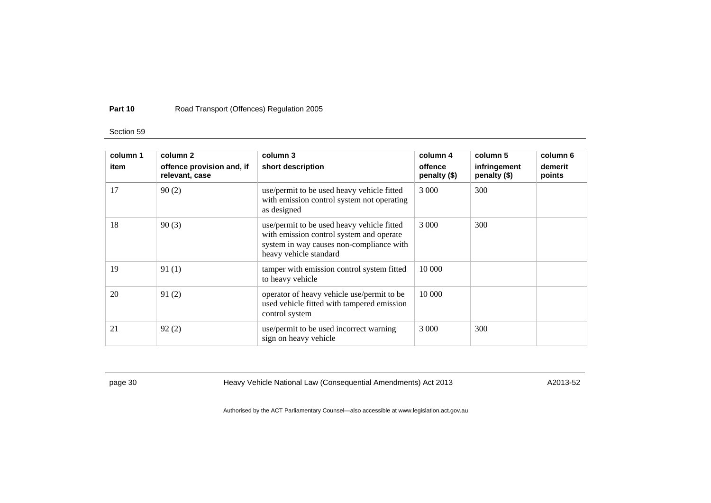#### **Part 10**Road Transport (Offences) Regulation 2005

#### Section 59

| column 1 | column 2                                    | column 3                                                                                                                                                     | column 4                | column 5                     | column 6          |
|----------|---------------------------------------------|--------------------------------------------------------------------------------------------------------------------------------------------------------------|-------------------------|------------------------------|-------------------|
| item     | offence provision and, if<br>relevant, case | short description                                                                                                                                            | offence<br>penalty (\$) | infringement<br>penalty (\$) | demerit<br>points |
| 17       | 90(2)                                       | use/permit to be used heavy vehicle fitted<br>with emission control system not operating<br>as designed                                                      | 3 0 0 0                 | 300                          |                   |
| 18       | 90(3)                                       | use/permit to be used heavy vehicle fitted<br>with emission control system and operate<br>system in way causes non-compliance with<br>heavy vehicle standard | 3 0 0 0                 | 300                          |                   |
| 19       | 91(1)                                       | tamper with emission control system fitted<br>to heavy vehicle                                                                                               | 10 000                  |                              |                   |
| 20       | 91(2)                                       | operator of heavy vehicle use/permit to be<br>used vehicle fitted with tampered emission<br>control system                                                   | 10 000                  |                              |                   |
| 21       | 92(2)                                       | use/permit to be used incorrect warning<br>sign on heavy vehicle                                                                                             | 3 0 0 0                 | 300                          |                   |

page 30 **Heavy Vehicle National Law (Consequential Amendments) Act 2013** A2013-52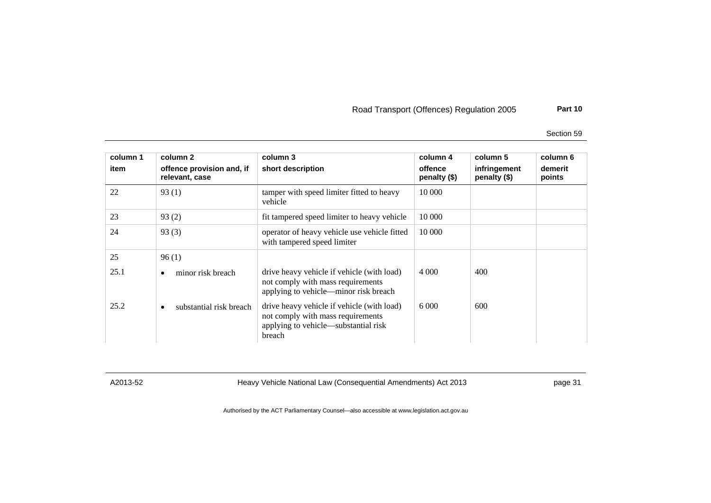Section 59

| column 1<br>item | column 2<br>offence provision and, if<br>relevant, case | column 3<br>short description                                                                                                     | column 4<br>offence<br>penalty (\$) | column 5<br>infringement<br>penalty (\$) | column 6<br>demerit<br>points |
|------------------|---------------------------------------------------------|-----------------------------------------------------------------------------------------------------------------------------------|-------------------------------------|------------------------------------------|-------------------------------|
| 22               | 93(1)                                                   | tamper with speed limiter fitted to heavy<br>vehicle                                                                              | 10 000                              |                                          |                               |
| 23               | 93(2)                                                   | fit tampered speed limiter to heavy vehicle                                                                                       | 10 000                              |                                          |                               |
| 24               | 93(3)                                                   | operator of heavy vehicle use vehicle fitted<br>with tampered speed limiter                                                       | 10 000                              |                                          |                               |
| 25               | 96(1)                                                   |                                                                                                                                   |                                     |                                          |                               |
| 25.1             | minor risk breach<br>٠                                  | drive heavy vehicle if vehicle (with load)<br>not comply with mass requirements<br>applying to vehicle—minor risk breach          | 4 0 0 0                             | 400                                      |                               |
| 25.2             | substantial risk breach<br>٠                            | drive heavy vehicle if vehicle (with load)<br>not comply with mass requirements<br>applying to vehicle—substantial risk<br>breach | 6 0 0 0                             | 600                                      |                               |

A2013-52 Heavy Vehicle National Law (Consequential Amendments) Act 2013 page 31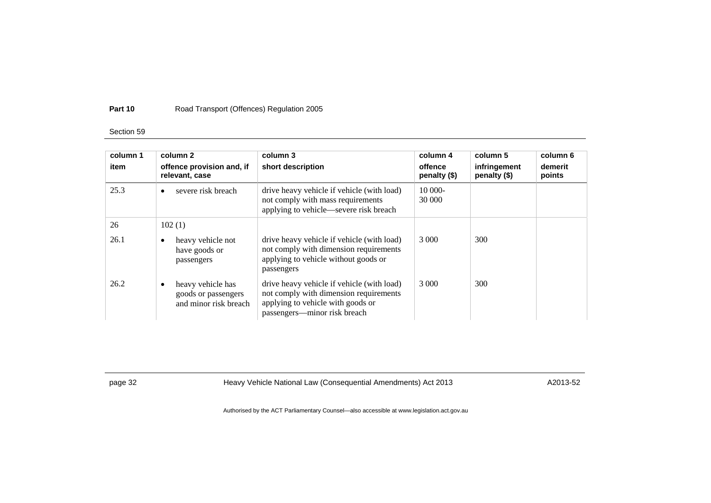## Section 59

| column 1<br>item | column 2<br>offence provision and, if<br>relevant, case                | column 3<br>short description                                                                                                                             | column 4<br>offence<br>penalty $(\$)$ | column 5<br>infringement<br>penalty (\$) | column 6<br>demerit<br>points |
|------------------|------------------------------------------------------------------------|-----------------------------------------------------------------------------------------------------------------------------------------------------------|---------------------------------------|------------------------------------------|-------------------------------|
| 25.3             | severe risk breach<br>$\bullet$                                        | drive heavy vehicle if vehicle (with load)<br>not comply with mass requirements<br>applying to vehicle—severe risk breach                                 | $10000 -$<br>30 000                   |                                          |                               |
| 26               | 102(1)                                                                 |                                                                                                                                                           |                                       |                                          |                               |
| 26.1             | heavy vehicle not<br>٠<br>have goods or<br>passengers                  | drive heavy vehicle if vehicle (with load)<br>not comply with dimension requirements<br>applying to vehicle without goods or<br>passengers                | 3 0 0 0                               | 300                                      |                               |
| 26.2             | heavy vehicle has<br>٠<br>goods or passengers<br>and minor risk breach | drive heavy vehicle if vehicle (with load)<br>not comply with dimension requirements<br>applying to vehicle with goods or<br>passengers—minor risk breach | 3 0 0 0                               | 300                                      |                               |

page 32 **Heavy Vehicle National Law (Consequential Amendments) Act 2013** A2013-52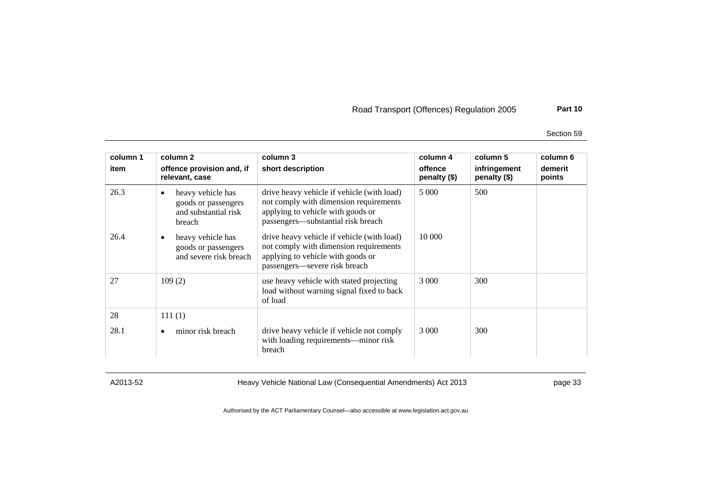Section 59

| column 1<br>item | column 2<br>offence provision and, if<br>relevant, case                                 | column 3<br>short description                                                                                                                                   | column 4<br>offence<br>penalty (\$) | column 5<br>infringement<br>penalty $(\$)$ | column 6<br>demerit<br>points |
|------------------|-----------------------------------------------------------------------------------------|-----------------------------------------------------------------------------------------------------------------------------------------------------------------|-------------------------------------|--------------------------------------------|-------------------------------|
| 26.3             | heavy vehicle has<br>$\bullet$<br>goods or passengers<br>and substantial risk<br>breach | drive heavy vehicle if vehicle (with load)<br>not comply with dimension requirements<br>applying to vehicle with goods or<br>passengers—substantial risk breach | 5 0 0 0                             | 500                                        |                               |
| 26.4             | heavy vehicle has<br>$\bullet$<br>goods or passengers<br>and severe risk breach         | drive heavy vehicle if vehicle (with load)<br>not comply with dimension requirements<br>applying to vehicle with goods or<br>passengers—severe risk breach      | 10 000                              |                                            |                               |
| 27               | 109(2)                                                                                  | use heavy vehicle with stated projecting<br>load without warning signal fixed to back<br>of load                                                                | 3 0 0 0                             | 300                                        |                               |
| 28               | 111(1)                                                                                  |                                                                                                                                                                 |                                     |                                            |                               |
| 28.1             | minor risk breach<br>$\bullet$                                                          | drive heavy vehicle if vehicle not comply<br>with loading requirements—minor risk<br>breach                                                                     | 3 0 0 0                             | 300                                        |                               |

A2013-52 Heavy Vehicle National Law (Consequential Amendments) Act 2013 page 33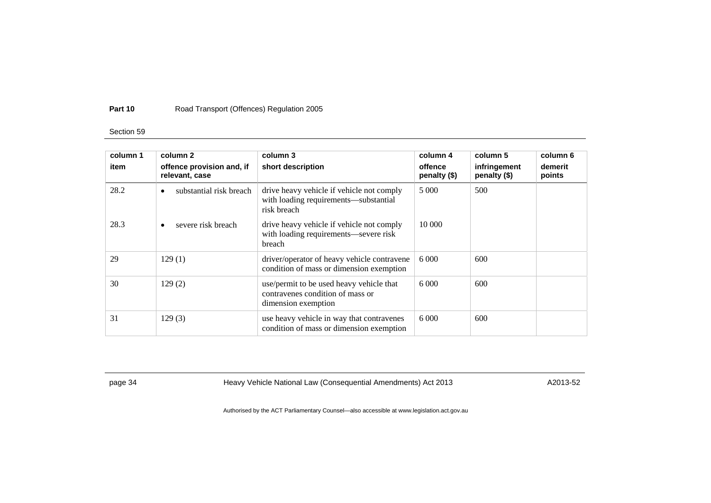## Section 59

| column 1<br>item | column 2<br>offence provision and, if<br>relevant, case | column 3<br>short description                                                                       | column 4<br>offence<br>penalty $(\$)$ | column 5<br>infringement<br>penalty (\$) | column 6<br>demerit<br>points |
|------------------|---------------------------------------------------------|-----------------------------------------------------------------------------------------------------|---------------------------------------|------------------------------------------|-------------------------------|
| 28.2             | substantial risk breach<br>$\bullet$                    | drive heavy vehicle if vehicle not comply<br>with loading requirements—substantial<br>risk breach   | 5 000                                 | 500                                      |                               |
| 28.3             | severe risk breach                                      | drive heavy vehicle if vehicle not comply<br>with loading requirements-severe risk<br>breach        | 10 000                                |                                          |                               |
| 29               | 129(1)                                                  | driver/operator of heavy vehicle contravene<br>condition of mass or dimension exemption             | 6.000                                 | 600                                      |                               |
| 30               | 129(2)                                                  | use/permit to be used heavy vehicle that<br>contravenes condition of mass or<br>dimension exemption | 6000                                  | 600                                      |                               |
| 31               | 129(3)                                                  | use heavy vehicle in way that contravenes<br>condition of mass or dimension exemption               | 6000                                  | 600                                      |                               |

page 34 **Heavy Vehicle National Law (Consequential Amendments) Act 2013** A2013-52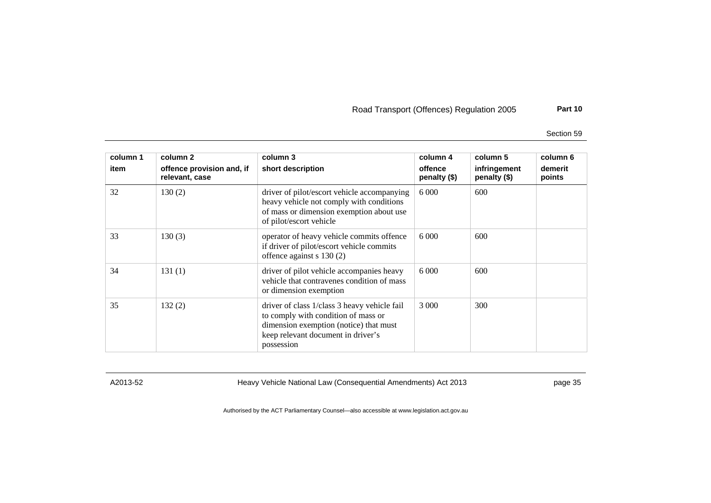Section 59

| column 1<br>item | column 2                                    | column 3                                                                                                                                                                          | column 4<br>offence | column 5                     | column 6<br>demerit |
|------------------|---------------------------------------------|-----------------------------------------------------------------------------------------------------------------------------------------------------------------------------------|---------------------|------------------------------|---------------------|
|                  | offence provision and, if<br>relevant, case | short description                                                                                                                                                                 | penalty (\$)        | infringement<br>penalty (\$) | points              |
| 32               | 130(2)                                      | driver of pilot/escort vehicle accompanying<br>heavy vehicle not comply with conditions<br>of mass or dimension exemption about use<br>of pilot/escort vehicle                    | 6 0 0 0             | 600                          |                     |
| 33               | 130(3)                                      | operator of heavy vehicle commits offence<br>if driver of pilot/escort vehicle commits<br>offence against s 130 (2)                                                               | 6 0 0 0             | 600                          |                     |
| 34               | 131(1)                                      | driver of pilot vehicle accompanies heavy<br>vehicle that contravenes condition of mass<br>or dimension exemption                                                                 | 6 0 0 0             | 600                          |                     |
| 35               | 132(2)                                      | driver of class 1/class 3 heavy vehicle fail<br>to comply with condition of mass or<br>dimension exemption (notice) that must<br>keep relevant document in driver's<br>possession | 3 0 0 0             | 300                          |                     |

A2013-52 Heavy Vehicle National Law (Consequential Amendments) Act 2013 page 35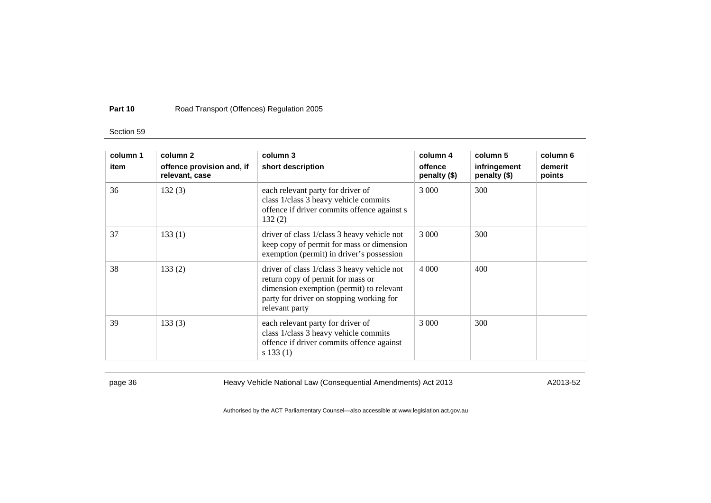## Section 59

| column 1 | column 2                                    | column 3                                                                                                                                                                                   | column 4                | column 5                     | column 6          |
|----------|---------------------------------------------|--------------------------------------------------------------------------------------------------------------------------------------------------------------------------------------------|-------------------------|------------------------------|-------------------|
| item     | offence provision and, if<br>relevant, case | short description                                                                                                                                                                          | offence<br>penalty (\$) | infringement<br>penalty (\$) | demerit<br>points |
| 36       | 132(3)                                      | each relevant party for driver of<br>class 1/class 3 heavy vehicle commits<br>offence if driver commits offence against s<br>132(2)                                                        | 3 0 0 0                 | 300                          |                   |
| 37       | 133(1)                                      | driver of class 1/class 3 heavy vehicle not<br>keep copy of permit for mass or dimension<br>exemption (permit) in driver's possession                                                      | 3 0 0 0                 | 300                          |                   |
| 38       | 133(2)                                      | driver of class 1/class 3 heavy vehicle not<br>return copy of permit for mass or<br>dimension exemption (permit) to relevant<br>party for driver on stopping working for<br>relevant party | 4 0 0 0                 | 400                          |                   |
| 39       | 133(3)                                      | each relevant party for driver of<br>class 1/class 3 heavy vehicle commits<br>offence if driver commits offence against<br>s 133(1)                                                        | 3 0 0 0                 | 300                          |                   |

page 36 **Heavy Vehicle National Law (Consequential Amendments) Act 2013** A2013-52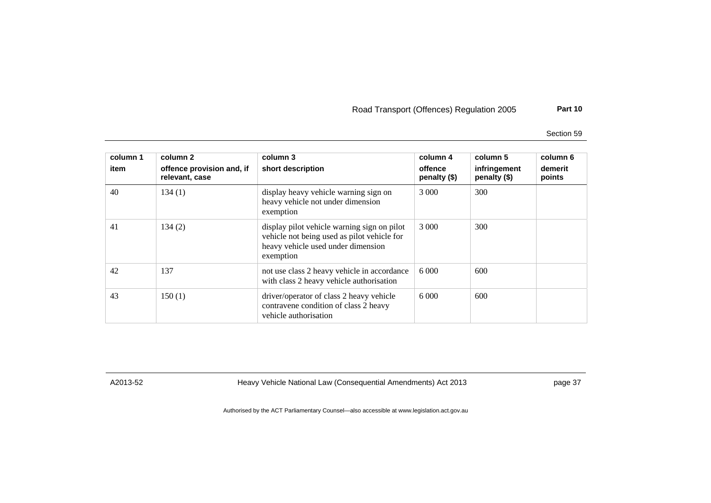Section 59

| column 1<br>item | column 2<br>offence provision and, if<br>relevant, case | column 3<br>short description                                                                                                                 | column 4<br>offence<br>penalty $(\$)$ | column 5<br>infringement<br>penalty (\$) | column 6<br>demerit<br>points |
|------------------|---------------------------------------------------------|-----------------------------------------------------------------------------------------------------------------------------------------------|---------------------------------------|------------------------------------------|-------------------------------|
| 40               | 134(1)                                                  | display heavy vehicle warning sign on<br>heavy vehicle not under dimension<br>exemption                                                       | 3 000                                 | 300                                      |                               |
| 41               | 134(2)                                                  | display pilot vehicle warning sign on pilot<br>vehicle not being used as pilot vehicle for<br>heavy vehicle used under dimension<br>exemption | 3 000                                 | 300                                      |                               |
| 42               | 137                                                     | not use class 2 heavy vehicle in accordance<br>with class 2 heavy vehicle authorisation                                                       |                                       | 600                                      |                               |
| 43               | 150(1)                                                  | driver/operator of class 2 heavy vehicle<br>contravene condition of class 2 heavy<br>vehicle authorisation                                    | 6000                                  | 600                                      |                               |

A2013-52 Heavy Vehicle National Law (Consequential Amendments) Act 2013 page 37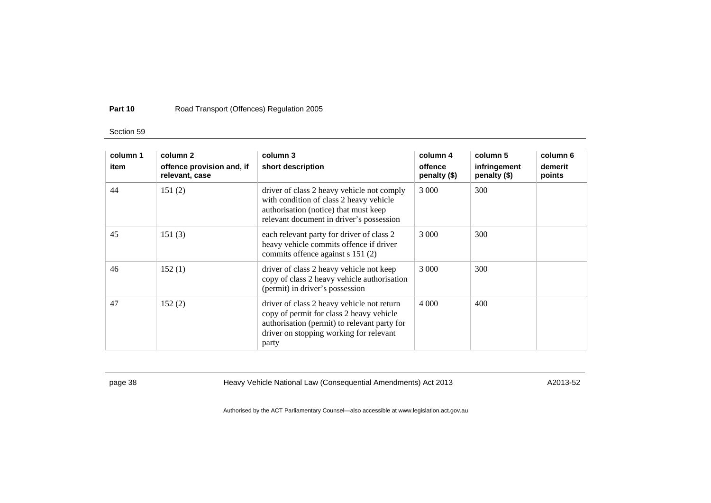## Section 59

| column 1<br>item | column 2<br>offence provision and, if<br>relevant, case | column 3<br>short description                                                                                                                                                              | column 4<br>offence<br>penalty (\$) | column 5<br>infringement<br>penalty (\$) | column 6<br>demerit<br>points |
|------------------|---------------------------------------------------------|--------------------------------------------------------------------------------------------------------------------------------------------------------------------------------------------|-------------------------------------|------------------------------------------|-------------------------------|
| 44               | 151(2)                                                  | driver of class 2 heavy vehicle not comply<br>with condition of class 2 heavy vehicle<br>authorisation (notice) that must keep<br>relevant document in driver's possession                 | 3 0 0 0                             | 300                                      |                               |
| 45               | 151(3)                                                  | each relevant party for driver of class 2<br>heavy vehicle commits offence if driver<br>commits offence against s 151 (2)                                                                  | 3 000                               | 300                                      |                               |
| 46               | 152(1)                                                  | driver of class 2 heavy vehicle not keep<br>copy of class 2 heavy vehicle authorisation<br>(permit) in driver's possession                                                                 | 3 0 0 0                             | 300                                      |                               |
| 47               | 152(2)                                                  | driver of class 2 heavy vehicle not return<br>copy of permit for class 2 heavy vehicle<br>authorisation (permit) to relevant party for<br>driver on stopping working for relevant<br>party | 4 0 0 0                             | 400                                      |                               |

page 38 Heavy Vehicle National Law (Consequential Amendments) Act 2013 AM A2013-52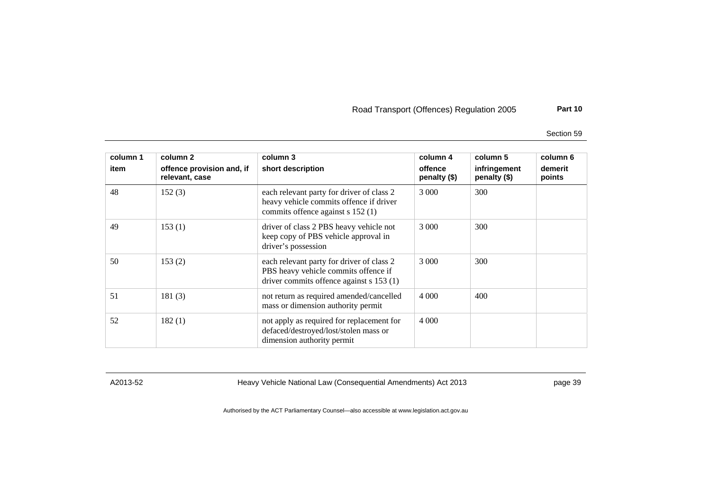Section 59

| column 1<br>item | column 2<br>offence provision and, if<br>relevant, case | column 3<br>short description                                                                                                 | column 4<br>offence<br>penalty (\$) | column 5<br>infringement<br>penalty (\$) | column 6<br>demerit<br>points |
|------------------|---------------------------------------------------------|-------------------------------------------------------------------------------------------------------------------------------|-------------------------------------|------------------------------------------|-------------------------------|
| 48               | 152(3)                                                  | each relevant party for driver of class 2<br>heavy vehicle commits offence if driver<br>commits offence against s 152 (1)     | 3 0 0 0                             | 300                                      |                               |
| 49               | 153(1)                                                  | driver of class 2 PBS heavy vehicle not<br>keep copy of PBS vehicle approval in<br>driver's possession                        | 3 0 0 0                             | 300                                      |                               |
| 50               | 153(2)                                                  | each relevant party for driver of class 2<br>PBS heavy vehicle commits offence if<br>driver commits offence against s 153 (1) | 3 0 0 0                             | 300                                      |                               |
| 51               | 181(3)                                                  | not return as required amended/cancelled<br>mass or dimension authority permit                                                | 4 0 0 0                             | 400                                      |                               |
| 52               | 182(1)                                                  | not apply as required for replacement for<br>defaced/destroyed/lost/stolen mass or<br>dimension authority permit              | 4 0 0 0                             |                                          |                               |

A2013-52 Heavy Vehicle National Law (Consequential Amendments) Act 2013 page 39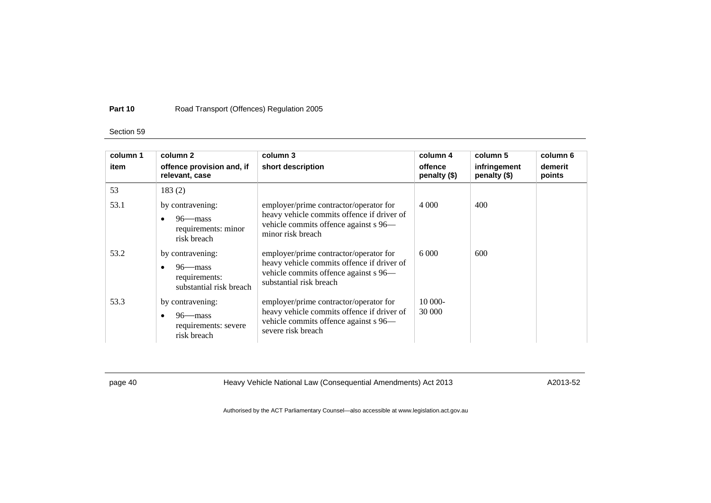## Section 59

| column 1<br>item | column 2<br>offence provision and, if<br>relevant, case                            | column 3<br>short description                                                                                                                            | column 4<br>offence<br>penalty (\$) | column 5<br>infringement<br>penalty (\$) | column 6<br>demerit<br>points |
|------------------|------------------------------------------------------------------------------------|----------------------------------------------------------------------------------------------------------------------------------------------------------|-------------------------------------|------------------------------------------|-------------------------------|
| 53               | 183(2)                                                                             |                                                                                                                                                          |                                     |                                          |                               |
| 53.1             | by contravening:<br>$96$ —mass<br>requirements: minor<br>risk breach               | employer/prime contractor/operator for<br>heavy vehicle commits offence if driver of<br>vehicle commits offence against s 96-<br>minor risk breach       | 4 0 0 0                             | 400                                      |                               |
| 53.2             | by contravening:<br>$96$ —mass<br>requirements:<br>substantial risk breach         | employer/prime contractor/operator for<br>heavy vehicle commits offence if driver of<br>vehicle commits offence against s 96—<br>substantial risk breach | 6.000                               | 600                                      |                               |
| 53.3             | by contravening:<br>$96$ —mass<br>$\bullet$<br>requirements: severe<br>risk breach | employer/prime contractor/operator for<br>heavy vehicle commits offence if driver of<br>vehicle commits offence against s 96—<br>severe risk breach      | 10 000-<br>30 000                   |                                          |                               |

page 40 **Heavy Vehicle National Law (Consequential Amendments) Act 2013** A2013-52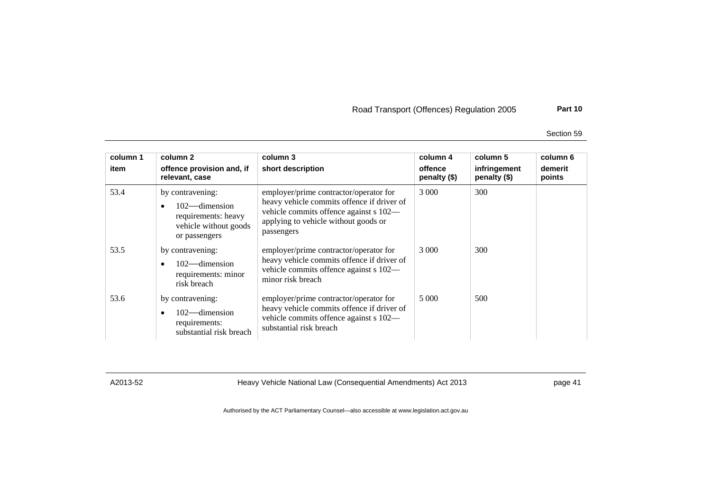Section 59

| column 1 | column 2                                                                                              | column 3                                                                                                                                                                             | column 4                | column 5                     | column 6          |
|----------|-------------------------------------------------------------------------------------------------------|--------------------------------------------------------------------------------------------------------------------------------------------------------------------------------------|-------------------------|------------------------------|-------------------|
| item     | offence provision and, if<br>relevant, case                                                           | short description                                                                                                                                                                    | offence<br>penalty (\$) | infringement<br>penalty (\$) | demerit<br>points |
| 53.4     | by contravening:<br>$102$ —dimension<br>requirements: heavy<br>vehicle without goods<br>or passengers | employer/prime contractor/operator for<br>heavy vehicle commits offence if driver of<br>vehicle commits offence against s 102—<br>applying to vehicle without goods or<br>passengers | 3 000                   | 300                          |                   |
| 53.5     | by contravening:<br>$102$ —dimension<br>requirements: minor<br>risk breach                            | employer/prime contractor/operator for<br>heavy vehicle commits offence if driver of<br>vehicle commits offence against s 102-<br>minor risk breach                                  | 3 000                   | 300                          |                   |
| 53.6     | by contravening:<br>$102$ —dimension<br>requirements:<br>substantial risk breach                      | employer/prime contractor/operator for<br>heavy vehicle commits offence if driver of<br>vehicle commits offence against s 102-<br>substantial risk breach                            | 5 000                   | 500                          |                   |

A2013-52 Heavy Vehicle National Law (Consequential Amendments) Act 2013 page 41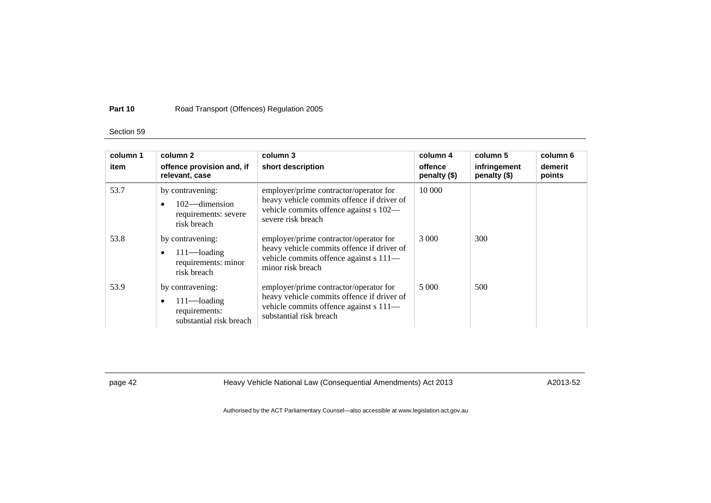## Section 59

| column 1<br>item | column 2<br>offence provision and, if<br>relevant, case                        | column 3<br>short description                                                                                                                             | column 4<br>offence<br>penalty $(\$)$ | column 5<br>infringement<br>penalty (\$) | column 6<br>demerit<br>points |
|------------------|--------------------------------------------------------------------------------|-----------------------------------------------------------------------------------------------------------------------------------------------------------|---------------------------------------|------------------------------------------|-------------------------------|
| 53.7             | by contravening:<br>$102$ —dimension<br>requirements: severe<br>risk breach    | employer/prime contractor/operator for<br>heavy vehicle commits offence if driver of<br>vehicle commits offence against s 102—<br>severe risk breach      | 10 000                                |                                          |                               |
| 53.8             | by contravening:<br>$111$ —loading<br>requirements: minor<br>risk breach       | employer/prime contractor/operator for<br>heavy vehicle commits offence if driver of<br>vehicle commits offence against s 111-<br>minor risk breach       | 3 0 0 0                               | 300                                      |                               |
| 53.9             | by contravening:<br>$111$ —loading<br>requirements:<br>substantial risk breach | employer/prime contractor/operator for<br>heavy vehicle commits offence if driver of<br>vehicle commits offence against s 111-<br>substantial risk breach | 5 000                                 | 500                                      |                               |

page 42 **Heavy Vehicle National Law (Consequential Amendments) Act 2013** A2013-52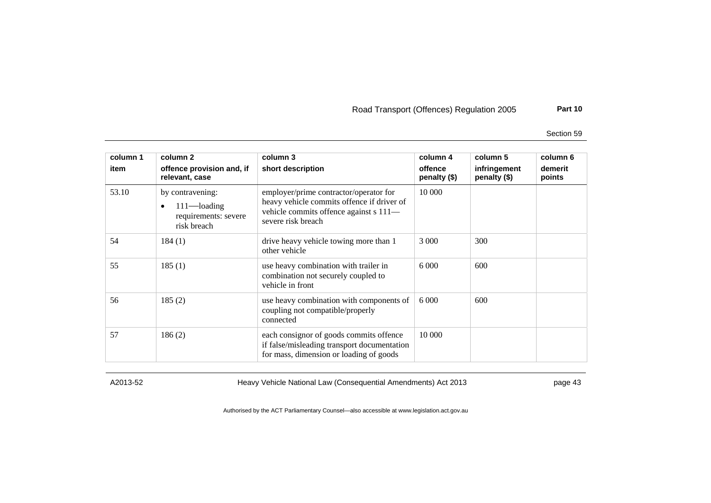Section 59

| column 1<br>item | column 2<br>offence provision and, if<br>relevant, case                        | column 3<br>short description                                                                                                                        | column 4<br>offence<br>penalty (\$) | column 5<br>infringement<br>penalty (\$) | column 6<br>demerit<br>points |
|------------------|--------------------------------------------------------------------------------|------------------------------------------------------------------------------------------------------------------------------------------------------|-------------------------------------|------------------------------------------|-------------------------------|
| 53.10            | by contravening:<br>$111$ —loading<br>٠<br>requirements: severe<br>risk breach | employer/prime contractor/operator for<br>heavy vehicle commits offence if driver of<br>vehicle commits offence against s 111-<br>severe risk breach | 10 000                              |                                          |                               |
| 54               | 184(1)                                                                         | drive heavy vehicle towing more than 1<br>other vehicle                                                                                              | 3 0 0 0                             | 300                                      |                               |
| 55               | 185(1)                                                                         | use heavy combination with trailer in<br>combination not securely coupled to<br>vehicle in front                                                     | 6 0 0 0                             | 600                                      |                               |
| 56               | 185(2)                                                                         | use heavy combination with components of<br>coupling not compatible/properly<br>connected                                                            | 6 0 0 0                             | 600                                      |                               |
| 57               | 186(2)                                                                         | each consignor of goods commits offence<br>if false/misleading transport documentation<br>for mass, dimension or loading of goods                    | 10 000                              |                                          |                               |

A2013-52 Heavy Vehicle National Law (Consequential Amendments) Act 2013 page 43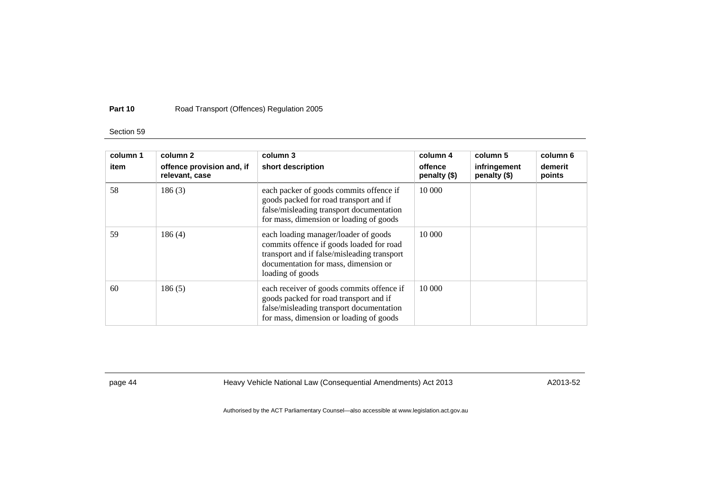## Section 59

| column 1<br>item | column 2<br>offence provision and, if<br>relevant, case | column 3<br>short description                                                                                                                                                               | column 4<br>offence<br>penalty $(\$)$ | column 5<br>infringement<br>penalty (\$) | column 6<br>demerit<br>points |
|------------------|---------------------------------------------------------|---------------------------------------------------------------------------------------------------------------------------------------------------------------------------------------------|---------------------------------------|------------------------------------------|-------------------------------|
| 58               | 186(3)                                                  | each packer of goods commits offence if<br>goods packed for road transport and if<br>false/misleading transport documentation<br>for mass, dimension or loading of goods                    | 10 000                                |                                          |                               |
| 59               | 186(4)                                                  | each loading manager/loader of goods<br>commits offence if goods loaded for road<br>transport and if false/misleading transport<br>documentation for mass, dimension or<br>loading of goods | 10 000                                |                                          |                               |
| 60               | 186(5)                                                  | each receiver of goods commits offence if<br>goods packed for road transport and if<br>false/misleading transport documentation<br>for mass, dimension or loading of goods                  | 10 000                                |                                          |                               |

page 44 **Heavy Vehicle National Law (Consequential Amendments) Act 2013** A2013-52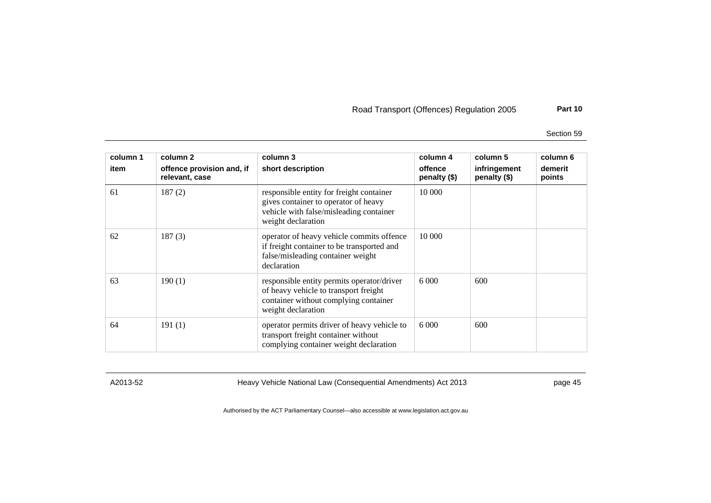Section 59

| column 1<br>item | column 2<br>offence provision and, if<br>relevant, case | column 3<br>short description                                                                                                                      | column 4<br>offence<br>penalty (\$) | column 5<br>infringement<br>penalty (\$) | column 6<br>demerit<br>points |
|------------------|---------------------------------------------------------|----------------------------------------------------------------------------------------------------------------------------------------------------|-------------------------------------|------------------------------------------|-------------------------------|
| 61               | 187(2)                                                  | responsible entity for freight container<br>gives container to operator of heavy<br>vehicle with false/misleading container<br>weight declaration  | 10 000                              |                                          |                               |
| 62               | 187(3)                                                  | operator of heavy vehicle commits offence<br>if freight container to be transported and<br>false/misleading container weight<br>declaration        | 10 000                              |                                          |                               |
| 63               | 190(1)                                                  | responsible entity permits operator/driver<br>of heavy vehicle to transport freight<br>container without complying container<br>weight declaration | 6 0 0 0                             | 600                                      |                               |
| 64               | 191(1)                                                  | operator permits driver of heavy vehicle to<br>transport freight container without<br>complying container weight declaration                       | 6 0 0 0                             | 600                                      |                               |

A2013-52 Heavy Vehicle National Law (Consequential Amendments) Act 2013 page 45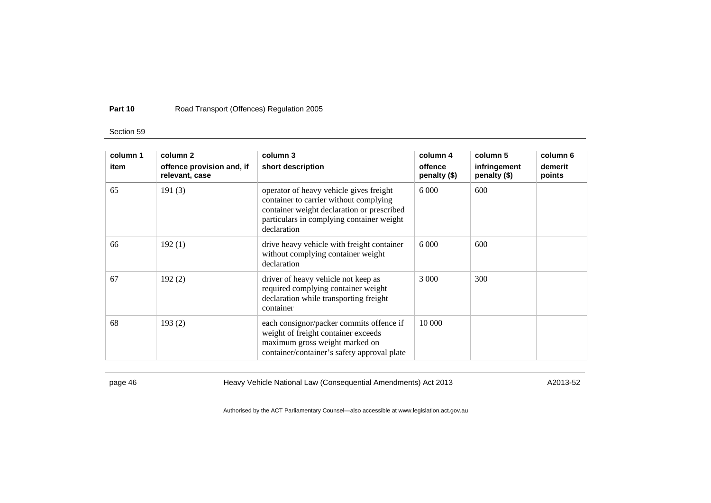## Section 59

| column 1 | column 2                                    | column 3                                                                                                                                                                                    | column 4                | column 5                     | column 6          |
|----------|---------------------------------------------|---------------------------------------------------------------------------------------------------------------------------------------------------------------------------------------------|-------------------------|------------------------------|-------------------|
| item     | offence provision and, if<br>relevant, case | short description                                                                                                                                                                           | offence<br>penalty (\$) | infringement<br>penalty (\$) | demerit<br>points |
| 65       | 191(3)                                      | operator of heavy vehicle gives freight<br>container to carrier without complying<br>container weight declaration or prescribed<br>particulars in complying container weight<br>declaration | 6 0 0 0                 | 600                          |                   |
| 66       | 192(1)                                      | drive heavy vehicle with freight container<br>without complying container weight<br>declaration                                                                                             | 6 0 0 0                 | 600                          |                   |
| 67       | 192(2)                                      | driver of heavy vehicle not keep as<br>required complying container weight<br>declaration while transporting freight<br>container                                                           | 3 000                   | 300                          |                   |
| 68       | 193(2)                                      | each consignor/packer commits offence if<br>weight of freight container exceeds<br>maximum gross weight marked on<br>container/container's safety approval plate                            | 10 000                  |                              |                   |

page 46 **Heavy Vehicle National Law (Consequential Amendments) Act 2013** A2013-52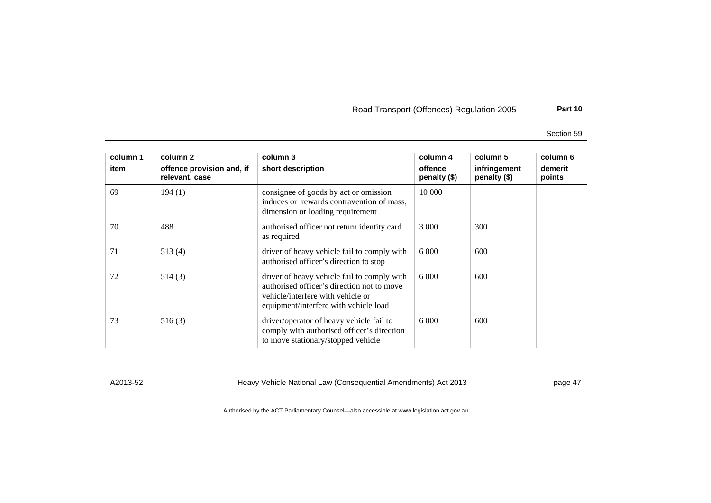Section 59

| column 1<br>item | column 2<br>offence provision and, if<br>relevant, case | column 3<br>short description                                                                                                                                           | column 4<br>offence<br>penalty (\$) | column 5<br>infringement<br>penalty (\$) | column 6<br>demerit<br>points |
|------------------|---------------------------------------------------------|-------------------------------------------------------------------------------------------------------------------------------------------------------------------------|-------------------------------------|------------------------------------------|-------------------------------|
| 69               | 194(1)                                                  | consignee of goods by act or omission<br>induces or rewards contravention of mass,<br>dimension or loading requirement                                                  | 10 000                              |                                          |                               |
| 70               | 488                                                     | authorised officer not return identity card<br>as required                                                                                                              | 3 0 0 0                             | 300                                      |                               |
| 71               | 513(4)                                                  | driver of heavy vehicle fail to comply with<br>authorised officer's direction to stop                                                                                   | 6 0 0 0                             | 600                                      |                               |
| 72               | 514(3)                                                  | driver of heavy vehicle fail to comply with<br>authorised officer's direction not to move<br>vehicle/interfere with vehicle or<br>equipment/interfere with vehicle load | 6.000                               | 600                                      |                               |
| 73               | 516(3)                                                  | driver/operator of heavy vehicle fail to<br>comply with authorised officer's direction<br>to move stationary/stopped vehicle                                            | 6 0 0 0                             | 600                                      |                               |

A2013-52 Heavy Vehicle National Law (Consequential Amendments) Act 2013 page 47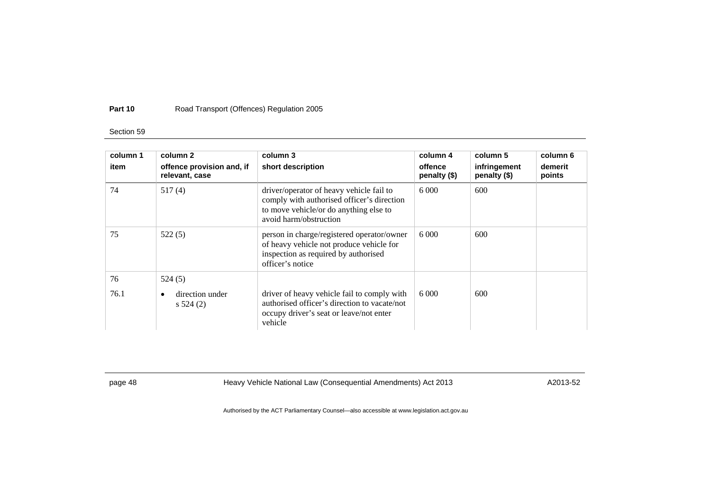## Section 59

| column 1<br>item | column 2<br>offence provision and, if<br>relevant, case | column 3<br>short description                                                                                                                              | column 4<br>offence<br>penalty (\$) | column 5<br>infringement<br>penalty (\$) | column 6<br>demerit<br>points |
|------------------|---------------------------------------------------------|------------------------------------------------------------------------------------------------------------------------------------------------------------|-------------------------------------|------------------------------------------|-------------------------------|
| 74               | 517(4)                                                  | driver/operator of heavy vehicle fail to<br>comply with authorised officer's direction<br>to move vehicle/or do anything else to<br>avoid harm/obstruction | 6000                                | 600                                      |                               |
| 75               | 522(5)                                                  | person in charge/registered operator/owner<br>of heavy vehicle not produce vehicle for<br>inspection as required by authorised<br>officer's notice         | 6000                                | 600                                      |                               |
| 76               | 524(5)                                                  |                                                                                                                                                            |                                     |                                          |                               |
| 76.1             | direction under<br>$\bullet$<br>s 524(2)                | driver of heavy vehicle fail to comply with<br>authorised officer's direction to vacate/not<br>occupy driver's seat or leave/not enter<br>vehicle          |                                     | 600                                      |                               |

page 48 **Heavy Vehicle National Law (Consequential Amendments) Act 2013** A2013-52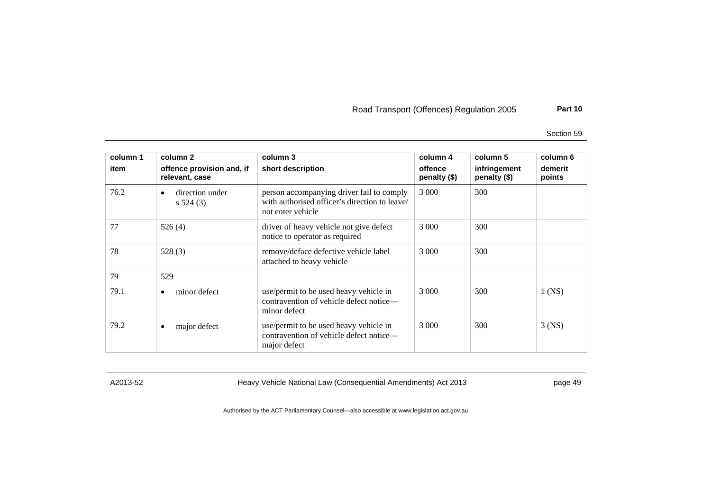Section 59

| column 1<br>item | column 2<br>offence provision and, if<br>relevant, case | column 3<br>short description                                                                                   | column 4<br>offence<br>penalty (\$) | column 5<br>infringement<br>penalty (\$) | column 6<br>demerit<br>points |
|------------------|---------------------------------------------------------|-----------------------------------------------------------------------------------------------------------------|-------------------------------------|------------------------------------------|-------------------------------|
| 76.2             | direction under<br>٠<br>s 524(3)                        | person accompanying driver fail to comply<br>with authorised officer's direction to leave/<br>not enter vehicle | 3 0 0 0                             | 300                                      |                               |
| 77               | 526(4)                                                  | driver of heavy vehicle not give defect<br>notice to operator as required                                       | 3 0 0 0                             | 300                                      |                               |
| 78               | 528(3)                                                  | remove/deface defective vehicle label<br>attached to heavy vehicle                                              | 3 000                               | 300                                      |                               |
| 79               | 529                                                     |                                                                                                                 |                                     |                                          |                               |
| 79.1             | minor defect<br>٠                                       | use/permit to be used heavy vehicle in<br>contravention of vehicle defect notice—<br>minor defect               | 3 0 0 0                             | 300                                      | $1$ (NS)                      |
| 79.2             | major defect<br>٠                                       | use/permit to be used heavy vehicle in<br>contravention of vehicle defect notice—<br>major defect               | 3 0 0 0                             | 300                                      | $3$ (NS)                      |

A2013-52 Heavy Vehicle National Law (Consequential Amendments) Act 2013 page 49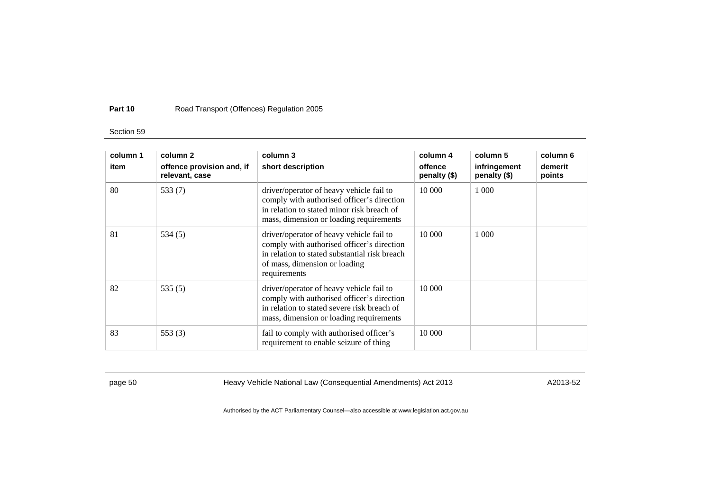## Section 59

| column 1 | column 2                                    | column 3                                                                                                                                                                                 | column 4                | column 5                     | column 6          |
|----------|---------------------------------------------|------------------------------------------------------------------------------------------------------------------------------------------------------------------------------------------|-------------------------|------------------------------|-------------------|
| item     | offence provision and, if<br>relevant, case | short description                                                                                                                                                                        | offence<br>penalty (\$) | infringement<br>penalty (\$) | demerit<br>points |
| 80       | 533 $(7)$                                   | driver/operator of heavy vehicle fail to<br>comply with authorised officer's direction<br>in relation to stated minor risk breach of<br>mass, dimension or loading requirements          | 10 000                  | 1 0 0 0                      |                   |
| 81       | 534(5)                                      | driver/operator of heavy vehicle fail to<br>comply with authorised officer's direction<br>in relation to stated substantial risk breach<br>of mass, dimension or loading<br>requirements | 10 000                  | 1 0 0 0                      |                   |
| 82       | 535(5)                                      | driver/operator of heavy vehicle fail to<br>comply with authorised officer's direction<br>in relation to stated severe risk breach of<br>mass, dimension or loading requirements         | 10 000                  |                              |                   |
| 83       | 553 $(3)$                                   | fail to comply with authorised officer's<br>requirement to enable seizure of thing                                                                                                       | 10 000                  |                              |                   |

page 50 **Heavy Vehicle National Law (Consequential Amendments) Act 2013** A2013-52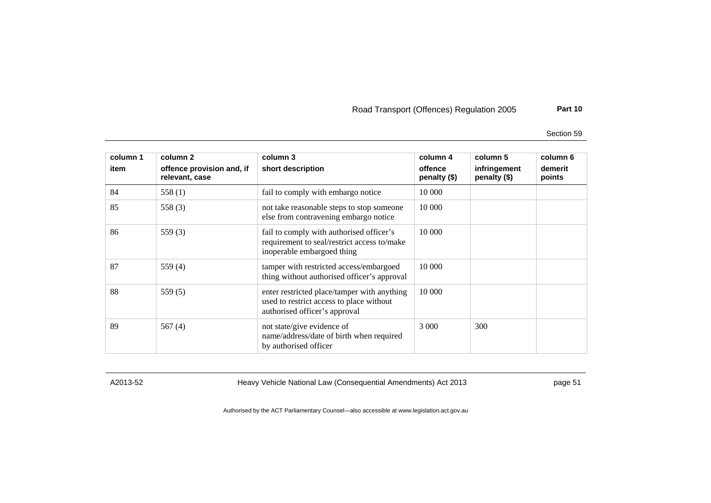Section 59

| column 1 | column 2                                    | column 3                                                                                                                 | column 4                | column 5                     | column 6          |
|----------|---------------------------------------------|--------------------------------------------------------------------------------------------------------------------------|-------------------------|------------------------------|-------------------|
| item     | offence provision and, if<br>relevant, case | short description                                                                                                        | offence<br>penalty (\$) | infringement<br>penalty (\$) | demerit<br>points |
| 84       | 558 $(1)$                                   | fail to comply with embargo notice                                                                                       | 10 000                  |                              |                   |
| 85       | 558 $(3)$                                   | not take reasonable steps to stop someone<br>else from contravening embargo notice                                       | 10 000                  |                              |                   |
| 86       | 559 $(3)$                                   | fail to comply with authorised officer's<br>requirement to seal/restrict access to/make<br>inoperable embargoed thing    | 10 000                  |                              |                   |
| 87       | 559 $(4)$                                   | tamper with restricted access/embargoed<br>thing without authorised officer's approval                                   | 10 000                  |                              |                   |
| 88       | 559 $(5)$                                   | enter restricted place/tamper with anything<br>used to restrict access to place without<br>authorised officer's approval | 10 000                  |                              |                   |
| 89       | 567 $(4)$                                   | not state/give evidence of<br>name/address/date of birth when required<br>by authorised officer                          | 3 0 0 0                 | 300                          |                   |

A2013-52 Heavy Vehicle National Law (Consequential Amendments) Act 2013 page 51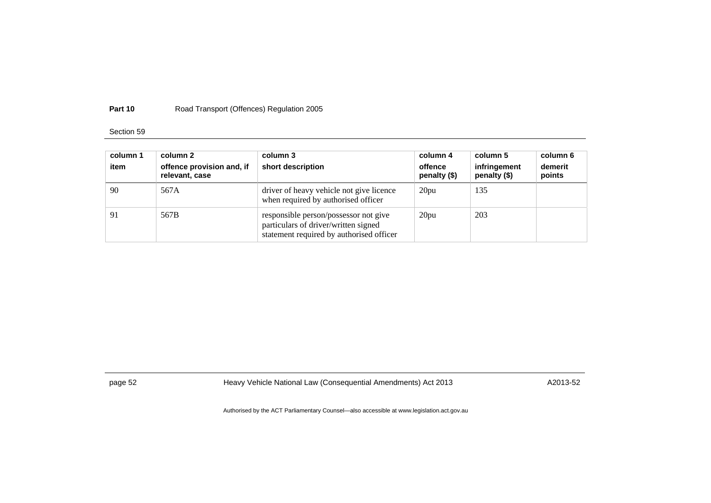## Section 59

| column 1<br>item | column 2<br>offence provision and, if<br>relevant, case | column 3<br>short description                                                                                             | column 4<br>offence<br>penalty (\$) | column 5<br>infringement<br>penalty (\$) | column 6<br>demerit<br>points |
|------------------|---------------------------------------------------------|---------------------------------------------------------------------------------------------------------------------------|-------------------------------------|------------------------------------------|-------------------------------|
| 90               | 567A                                                    | driver of heavy vehicle not give licence<br>when required by authorised officer                                           | 20pu                                | 135                                      |                               |
| 91               | 567B                                                    | responsible person/possessor not give<br>particulars of driver/written signed<br>statement required by authorised officer | 20pu                                | 203                                      |                               |

page 52 **Heavy Vehicle National Law (Consequential Amendments) Act 2013** A2013-52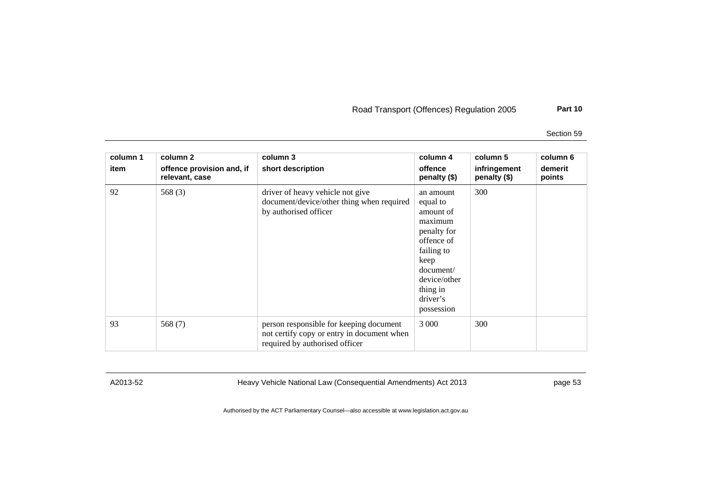Section 59

| column 1<br>item | column 2<br>offence provision and, if<br>relevant, case | column 3<br>short description                                                                                           | column 4<br>offence<br>penalty (\$)                                                                                                                                 | column 5<br>infringement<br>penalty (\$) | column 6<br>demerit<br>points |
|------------------|---------------------------------------------------------|-------------------------------------------------------------------------------------------------------------------------|---------------------------------------------------------------------------------------------------------------------------------------------------------------------|------------------------------------------|-------------------------------|
| 92               | 568 $(3)$                                               | driver of heavy vehicle not give<br>document/device/other thing when required<br>by authorised officer                  | an amount<br>equal to<br>amount of<br>maximum<br>penalty for<br>offence of<br>failing to<br>keep<br>document/<br>device/other<br>thing in<br>driver's<br>possession | 300                                      |                               |
| 93               | 568 $(7)$                                               | person responsible for keeping document<br>not certify copy or entry in document when<br>required by authorised officer | 3 0 0 0                                                                                                                                                             | 300                                      |                               |

A2013-52 Heavy Vehicle National Law (Consequential Amendments) Act 2013 page 53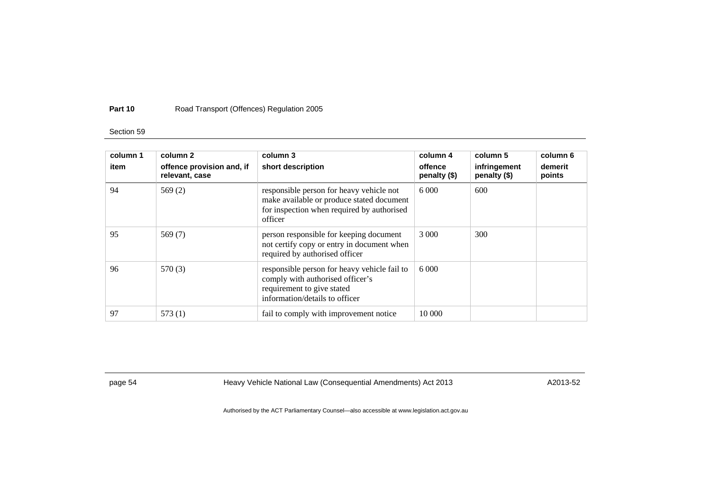## Section 59

| column 1<br>item | column 2<br>offence provision and, if<br>relevant, case | column 3<br>short description                                                                                                                    | column 4<br>offence<br>penalty (\$) | column 5<br>infringement<br>penalty (\$) | column 6<br>demerit<br>points |
|------------------|---------------------------------------------------------|--------------------------------------------------------------------------------------------------------------------------------------------------|-------------------------------------|------------------------------------------|-------------------------------|
| 94               | 569 $(2)$                                               | responsible person for heavy vehicle not<br>make available or produce stated document<br>for inspection when required by authorised<br>officer   | 6000                                | 600                                      |                               |
| 95               | 569 $(7)$                                               | person responsible for keeping document<br>not certify copy or entry in document when<br>required by authorised officer                          | 3 000                               | 300                                      |                               |
| 96               | 570 (3)                                                 | responsible person for heavy vehicle fail to<br>comply with authorised officer's<br>requirement to give stated<br>information/details to officer | 6.000                               |                                          |                               |
| 97               | 573(1)                                                  | fail to comply with improvement notice                                                                                                           | 10 000                              |                                          |                               |

page 54 **Heavy Vehicle National Law (Consequential Amendments) Act 2013** A2013-52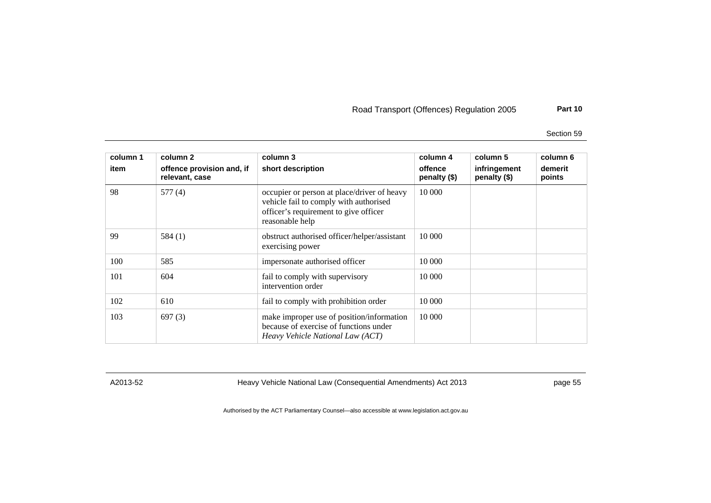Section 59

| column 1<br>item | column 2<br>offence provision and, if<br>relevant, case | column 3<br>short description                                                                                                                     | column 4<br>offence<br>penalty (\$) | column 5<br>infringement<br>penalty (\$) | column 6<br>demerit<br>points |
|------------------|---------------------------------------------------------|---------------------------------------------------------------------------------------------------------------------------------------------------|-------------------------------------|------------------------------------------|-------------------------------|
| 98               | 577(4)                                                  | occupier or person at place/driver of heavy<br>vehicle fail to comply with authorised<br>officer's requirement to give officer<br>reasonable help | 10 000                              |                                          |                               |
| 99               | 584(1)                                                  | obstruct authorised officer/helper/assistant<br>exercising power                                                                                  | 10 000                              |                                          |                               |
| 100              | 585                                                     | impersonate authorised officer                                                                                                                    | 10 000                              |                                          |                               |
| 101              | 604                                                     | fail to comply with supervisory<br>intervention order                                                                                             | 10 000                              |                                          |                               |
| 102              | 610                                                     | fail to comply with prohibition order                                                                                                             | 10 000                              |                                          |                               |
| 103              | 697(3)                                                  | make improper use of position/information<br>because of exercise of functions under<br>Heavy Vehicle National Law (ACT)                           | 10 000                              |                                          |                               |

A2013-52 Heavy Vehicle National Law (Consequential Amendments) Act 2013 page 55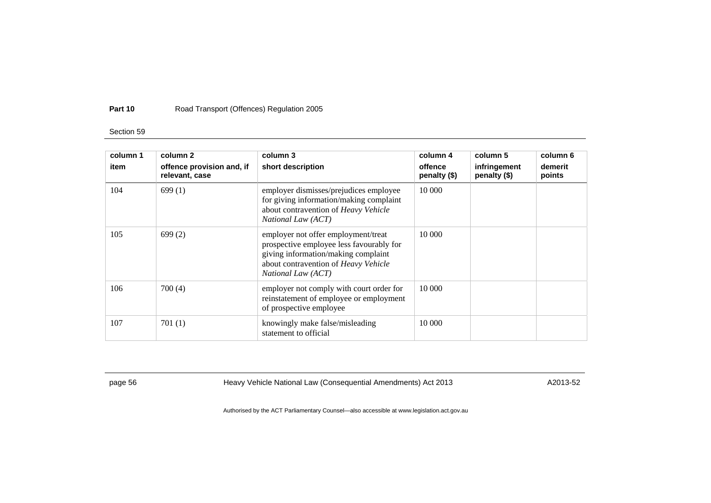## Section 59

| column 1<br>item | column 2<br>offence provision and, if<br>relevant, case | column 3<br>short description                                                                                                                                                        | column 4<br>offence<br>penalty (\$) | column 5<br>infringement<br>penalty (\$) | column 6<br>demerit<br>points |
|------------------|---------------------------------------------------------|--------------------------------------------------------------------------------------------------------------------------------------------------------------------------------------|-------------------------------------|------------------------------------------|-------------------------------|
| 104              | 699(1)                                                  | employer dismisses/prejudices employee<br>for giving information/making complaint<br>about contravention of Heavy Vehicle<br>National Law (ACT)                                      | 10 000                              |                                          |                               |
| 105              | 699(2)                                                  | employer not offer employment/treat<br>prospective employee less favourably for<br>giving information/making complaint<br>about contravention of Heavy Vehicle<br>National Law (ACT) | 10 000                              |                                          |                               |
| 106              | 700(4)                                                  | employer not comply with court order for<br>reinstatement of employee or employment<br>of prospective employee                                                                       | 10 000                              |                                          |                               |
| 107              | 701(1)                                                  | knowingly make false/misleading<br>statement to official                                                                                                                             | 10 000                              |                                          |                               |

page 56 **heavy Vehicle National Law (Consequential Amendments) Act 2013** A2013-52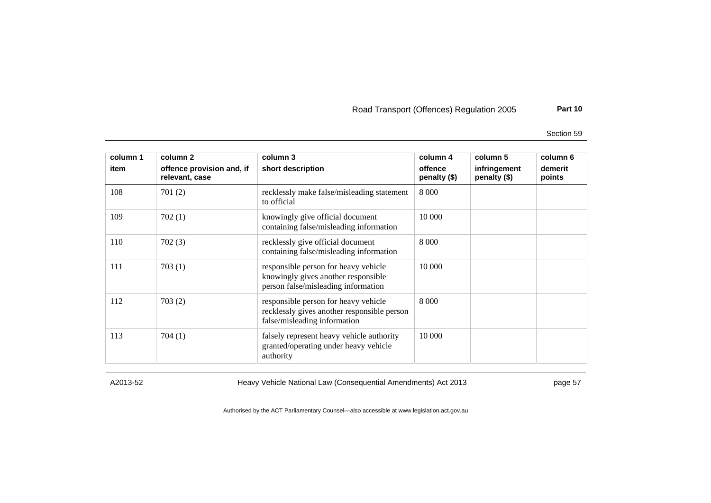Section 59

| column 1<br>item | column 2<br>offence provision and, if<br>relevant, case | column 3<br>short description                                                                                       | column 4<br>offence<br>penalty (\$) | column 5<br>infringement<br>penalty (\$) | column 6<br>demerit<br>points |
|------------------|---------------------------------------------------------|---------------------------------------------------------------------------------------------------------------------|-------------------------------------|------------------------------------------|-------------------------------|
| 108              | 701(2)                                                  | recklessly make false/misleading statement<br>to official                                                           | 8 0 0 0                             |                                          |                               |
| 109              | 702(1)                                                  | knowingly give official document<br>containing false/misleading information                                         | 10 000                              |                                          |                               |
| 110              | 702(3)                                                  | recklessly give official document<br>containing false/misleading information                                        | 8 0 0 0                             |                                          |                               |
| 111              | 703(1)                                                  | responsible person for heavy vehicle<br>knowingly gives another responsible<br>person false/misleading information  | 10 000                              |                                          |                               |
| 112              | 703(2)                                                  | responsible person for heavy vehicle<br>recklessly gives another responsible person<br>false/misleading information | 8 0 0 0                             |                                          |                               |
| 113              | 704(1)                                                  | falsely represent heavy vehicle authority<br>granted/operating under heavy vehicle<br>authority                     | 10 000                              |                                          |                               |

A2013-52 Heavy Vehicle National Law (Consequential Amendments) Act 2013 page 57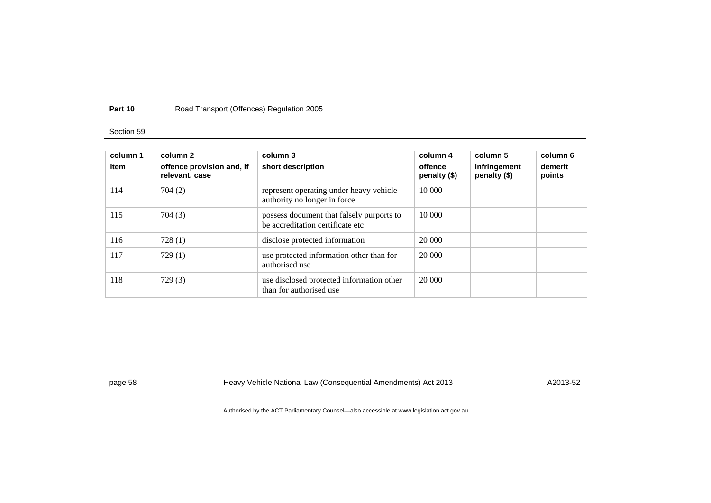## Section 59

| column 1<br>item | column 2<br>offence provision and, if<br>relevant, case | column 3<br>short description                                                 | column 4<br>offence<br>penalty (\$) | column 5<br>infringement<br>penalty (\$) | column 6<br>demerit<br>points |
|------------------|---------------------------------------------------------|-------------------------------------------------------------------------------|-------------------------------------|------------------------------------------|-------------------------------|
| 114              | 704 (2)                                                 | represent operating under heavy vehicle<br>authority no longer in force       | 10 000                              |                                          |                               |
| 115              | 704(3)                                                  | possess document that falsely purports to<br>be accreditation certificate etc | 10 000                              |                                          |                               |
| 116              | 728(1)                                                  | disclose protected information                                                | 20 000                              |                                          |                               |
| 117              | 729(1)                                                  | use protected information other than for<br>authorised use                    | 20 000                              |                                          |                               |
| 118              | 729(3)                                                  | use disclosed protected information other<br>than for authorised use          | 20 000                              |                                          |                               |

page 58 heavy Vehicle National Law (Consequential Amendments) Act 2013 https://www.hazona.com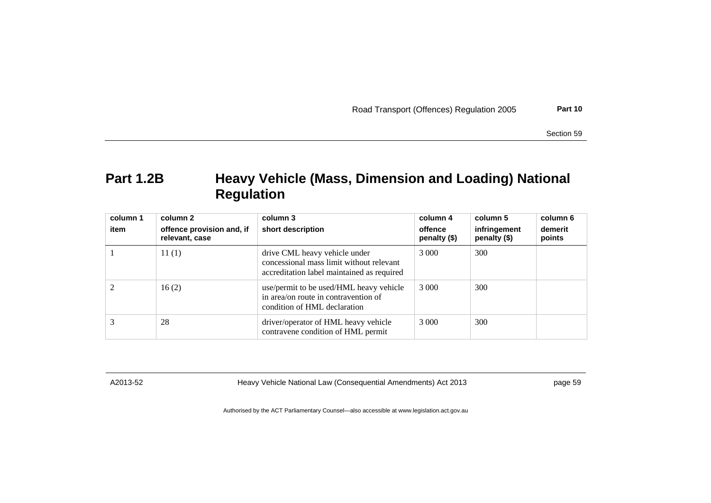|  |  |  | Road Transport (Offences) Regulation 2005 | Part 10 |
|--|--|--|-------------------------------------------|---------|
|--|--|--|-------------------------------------------|---------|

Section 59

# **Part 1.2B Heavy Vehicle (Mass, Dimension and Loading) National Regulation**

| column 1<br>item | column 2<br>offence provision and, if<br>relevant, case | column 3<br>short description                                                                                           | column 4<br>offence<br>penalty $(\$)$ | column 5<br>infringement<br>penalty (\$) | column 6<br>demerit<br>points |
|------------------|---------------------------------------------------------|-------------------------------------------------------------------------------------------------------------------------|---------------------------------------|------------------------------------------|-------------------------------|
|                  | 11(1)                                                   | drive CML heavy vehicle under<br>concessional mass limit without relevant<br>accreditation label maintained as required | 3 0 0 0                               | 300                                      |                               |
|                  | 16(2)                                                   | use/permit to be used/HML heavy vehicle<br>in area/on route in contravention of<br>condition of HML declaration         | 3 0 0 0                               | 300                                      |                               |
|                  | 28                                                      | driver/operator of HML heavy vehicle<br>contravene condition of HML permit                                              | 3 0 0 0                               | 300                                      |                               |

A2013-52 Heavy Vehicle National Law (Consequential Amendments) Act 2013 page 59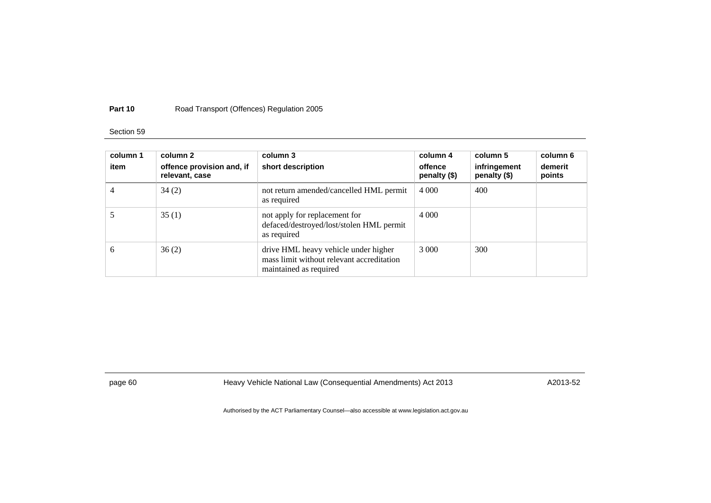## Section 59

| column 1<br>item | column 2<br>offence provision and, if<br>relevant, case | column 3<br>short description                                                                               | column 4<br>offence<br>penalty (\$) | column 5<br>infringement<br>penalty (\$) | column 6<br>demerit<br>points |
|------------------|---------------------------------------------------------|-------------------------------------------------------------------------------------------------------------|-------------------------------------|------------------------------------------|-------------------------------|
|                  | 34(2)                                                   | not return amended/cancelled HML permit<br>as required                                                      | 4 0 0 0                             | 400                                      |                               |
|                  | 35(1)                                                   | not apply for replacement for<br>defaced/destroyed/lost/stolen HML permit<br>as required                    | 4 0 0 0                             |                                          |                               |
| 6                | 36(2)                                                   | drive HML heavy vehicle under higher<br>mass limit without relevant accreditation<br>maintained as required | 3 000                               | 300                                      |                               |

page 60 **Heavy Vehicle National Law (Consequential Amendments) Act 2013** A2013-52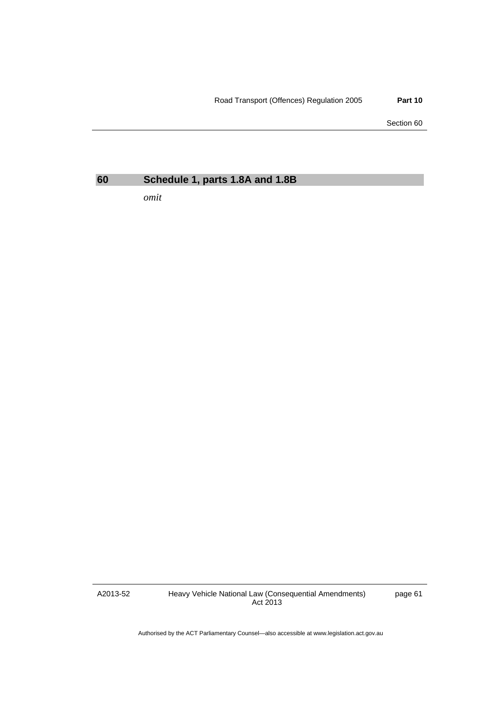Section 60

## **60 Schedule 1, parts 1.8A and 1.8B**

*omit* 

A2013-52

Heavy Vehicle National Law (Consequential Amendments) Act 2013

page 61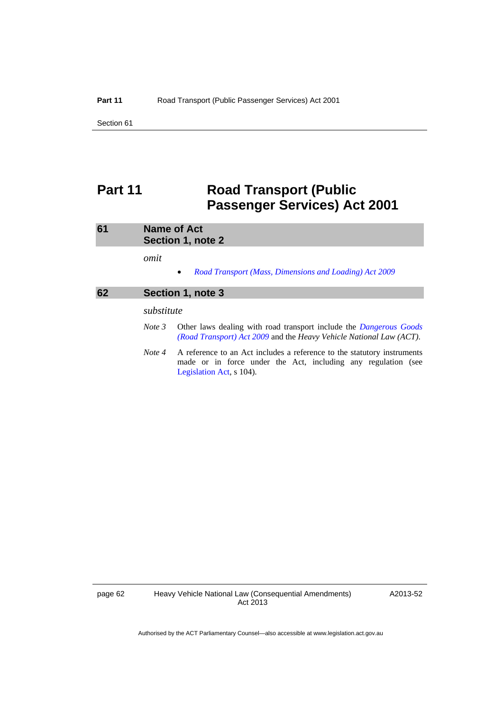Section 61

# **Part 11** Road Transport (Public **Passenger Services) Act 2001**

| 61 | <b>Name of Act</b><br>Section 1, note 2                                                                                                                                        |  |
|----|--------------------------------------------------------------------------------------------------------------------------------------------------------------------------------|--|
|    | omit<br>Road Transport (Mass, Dimensions and Loading) Act 2009<br>$\bullet$                                                                                                    |  |
| 62 | Section 1, note 3                                                                                                                                                              |  |
|    | substitute                                                                                                                                                                     |  |
|    | Other laws dealing with road transport include the <i>Dangerous Goods</i><br>Note 3<br>(Road Transport) Act 2009 and the Heavy Vehicle National Law (ACT).                     |  |
|    | A reference to an Act includes a reference to the statutory instruments<br>Note 4<br>made or in force under the Act, including any regulation (see<br>Legislation Act, s 104). |  |

page 62 Heavy Vehicle National Law (Consequential Amendments) Act 2013

A2013-52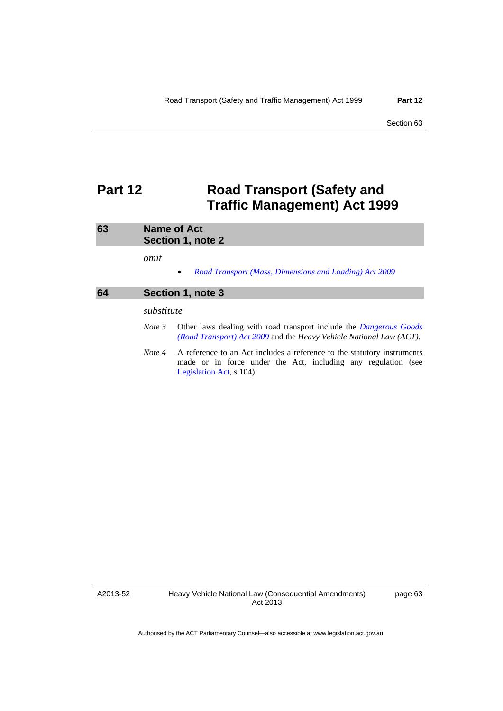## **Part 12** Road Transport (Safety and **Traffic Management) Act 1999**

| 63 |            | <b>Name of Act</b><br>Section 1, note 2                                                                                                                              |  |  |
|----|------------|----------------------------------------------------------------------------------------------------------------------------------------------------------------------|--|--|
|    | omit       | Road Transport (Mass, Dimensions and Loading) Act 2009<br>$\bullet$                                                                                                  |  |  |
| 64 |            | Section 1, note 3                                                                                                                                                    |  |  |
|    | substitute |                                                                                                                                                                      |  |  |
|    | Note 3     | Other laws dealing with road transport include the <i>Dangerous Goods</i><br>(Road Transport) Act 2009 and the Heavy Vehicle National Law (ACT).                     |  |  |
|    | Note 4     | A reference to an Act includes a reference to the statutory instruments<br>made or in force under the Act, including any regulation (see<br>Legislation Act, s 104). |  |  |

A2013-52

Heavy Vehicle National Law (Consequential Amendments) Act 2013

page 63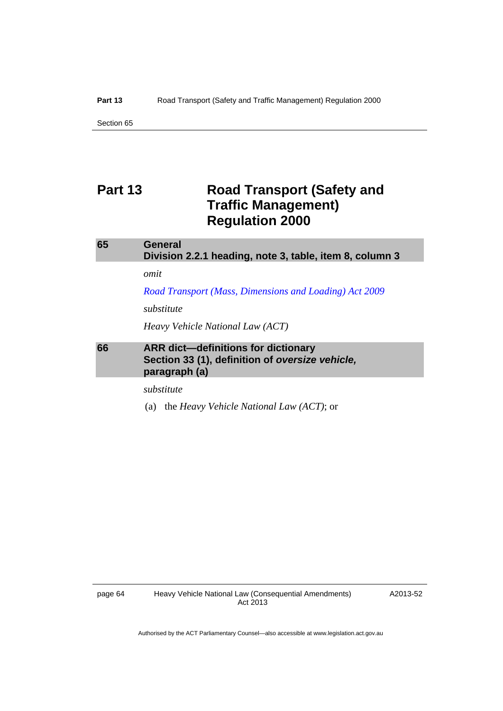Section 65

## **Part 13** Road Transport (Safety and **Traffic Management) Regulation 2000**

| 65 | General<br>Division 2.2.1 heading, note 3, table, item 8, column 3                                             |
|----|----------------------------------------------------------------------------------------------------------------|
|    | omit                                                                                                           |
|    | Road Transport (Mass, Dimensions and Loading) Act 2009                                                         |
|    | substitute                                                                                                     |
|    | Heavy Vehicle National Law (ACT)                                                                               |
| 66 | <b>ARR</b> dict-definitions for dictionary<br>Section 33 (1), definition of oversize vehicle,<br>paragraph (a) |

*substitute* 

(a) the *Heavy Vehicle National Law (ACT)*; or

A2013-52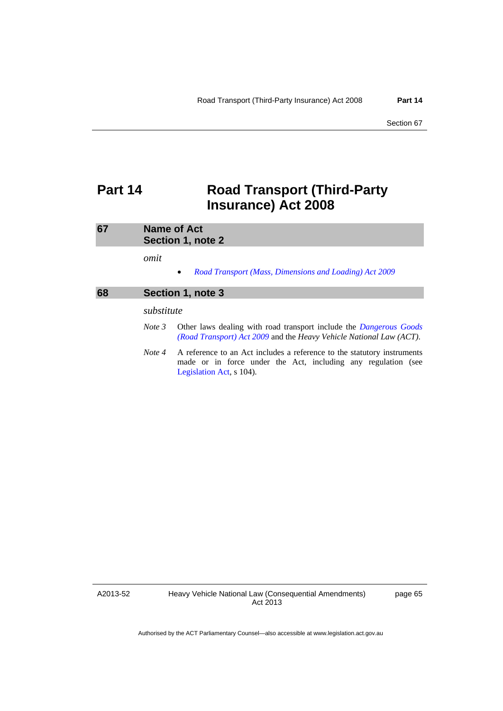## **Part 14 Road Transport (Third-Party Insurance) Act 2008**

| 67 |            | Name of Act<br>Section 1, note 2                                                                                                                                     |
|----|------------|----------------------------------------------------------------------------------------------------------------------------------------------------------------------|
|    | omit       | Road Transport (Mass, Dimensions and Loading) Act 2009<br>$\bullet$                                                                                                  |
| 68 |            | Section 1, note 3                                                                                                                                                    |
|    | substitute |                                                                                                                                                                      |
|    | Note 3     | Other laws dealing with road transport include the <i>Dangerous Goods</i><br>(Road Transport) Act 2009 and the Heavy Vehicle National Law (ACT).                     |
|    | Note 4     | A reference to an Act includes a reference to the statutory instruments<br>made or in force under the Act, including any regulation (see<br>Legislation Act, s 104). |

A2013-52

page 65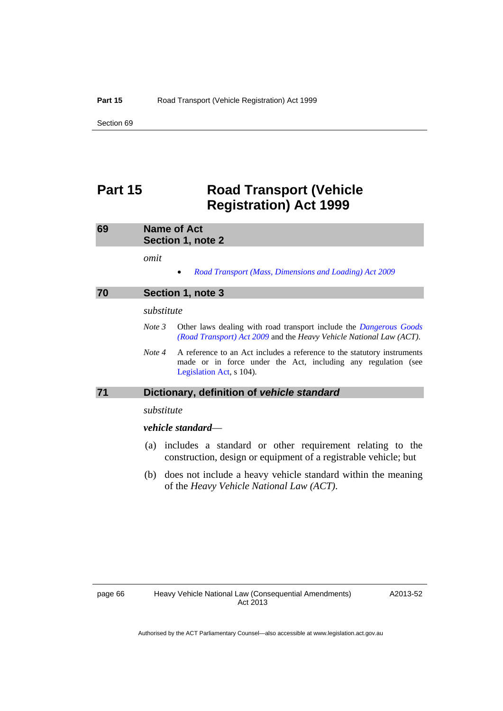Section 69

## **Part 15 Road Transport (Vehicle Registration) Act 1999**

| 69 | Name of Act<br>Section 1, note 2                                                                                                                                               |  |
|----|--------------------------------------------------------------------------------------------------------------------------------------------------------------------------------|--|
|    | omit                                                                                                                                                                           |  |
|    | Road Transport (Mass, Dimensions and Loading) Act 2009<br>٠                                                                                                                    |  |
| 70 | Section 1, note 3                                                                                                                                                              |  |
|    | substitute                                                                                                                                                                     |  |
|    | Other laws dealing with road transport include the <i>Dangerous Goods</i><br>Note 3<br>(Road Transport) Act 2009 and the Heavy Vehicle National Law (ACT).                     |  |
|    | Note 4<br>A reference to an Act includes a reference to the statutory instruments<br>made or in force under the Act, including any regulation (see<br>Legislation Act, s 104). |  |
| 71 | Dictionary, definition of vehicle standard                                                                                                                                     |  |
|    | substitute                                                                                                                                                                     |  |
|    | vehicle standard—                                                                                                                                                              |  |
|    | (a) includes a standard or other requirement relating to the                                                                                                                   |  |

- construction, design or equipment of a registrable vehicle; but
- (b) does not include a heavy vehicle standard within the meaning of the *Heavy Vehicle National Law (ACT)*.

A2013-52